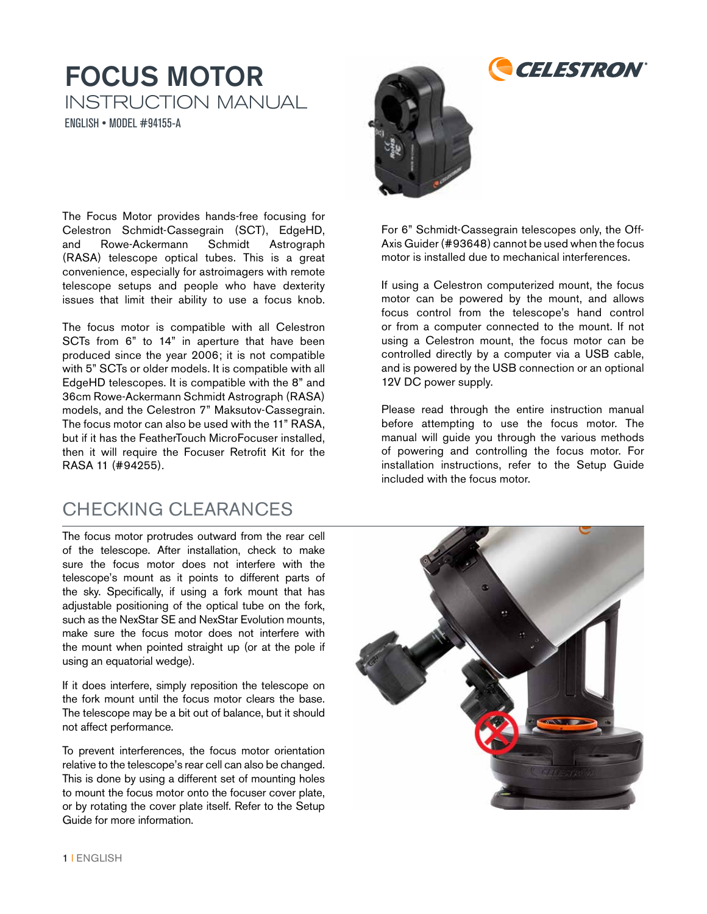#### FOCUS MOTOR INSTRUCTION MANUAL ENGLISH • MODEL #94155-A

The Focus Motor provides hands-free focusing for Celestron Schmidt-Cassegrain (SCT), EdgeHD, and Rowe-Ackermann Schmidt Astrograph (RASA) telescope optical tubes. This is a great convenience, especially for astroimagers with remote telescope setups and people who have dexterity issues that limit their ability to use a focus knob.

The focus motor is compatible with all Celestron SCTs from 6" to 14" in aperture that have been produced since the year 2006; it is not compatible with 5" SCTs or older models. It is compatible with all EdgeHD telescopes. It is compatible with the 8" and 36cm Rowe-Ackermann Schmidt Astrograph (RASA) models, and the Celestron 7" Maksutov-Cassegrain. The focus motor can also be used with the 11" RASA, but if it has the FeatherTouch MicroFocuser installed, then it will require the Focuser Retrofit Kit for the RASA 11 (#94255).

#### CHECKING CLEARANCES

The focus motor protrudes outward from the rear cell of the telescope. After installation, check to make sure the focus motor does not interfere with the telescope's mount as it points to different parts of the sky. Specifically, if using a fork mount that has adjustable positioning of the optical tube on the fork, such as the NexStar SE and NexStar Evolution mounts, make sure the focus motor does not interfere with the mount when pointed straight up (or at the pole if using an equatorial wedge).

If it does interfere, simply reposition the telescope on the fork mount until the focus motor clears the base. The telescope may be a bit out of balance, but it should not affect performance.

To prevent interferences, the focus motor orientation relative to the telescope's rear cell can also be changed. This is done by using a different set of mounting holes to mount the focus motor onto the focuser cover plate, or by rotating the cover plate itself. Refer to the Setup Guide for more information.



For 6" Schmidt-Cassegrain telescopes only, the Off-Axis Guider (#93648) cannot be used when the focus motor is installed due to mechanical interferences.

*CELESTRON* 

If using a Celestron computerized mount, the focus motor can be powered by the mount, and allows focus control from the telescope's hand control or from a computer connected to the mount. If not using a Celestron mount, the focus motor can be controlled directly by a computer via a USB cable, and is powered by the USB connection or an optional 12V DC power supply.

Please read through the entire instruction manual before attempting to use the focus motor. The manual will guide you through the various methods of powering and controlling the focus motor. For installation instructions, refer to the Setup Guide included with the focus motor.

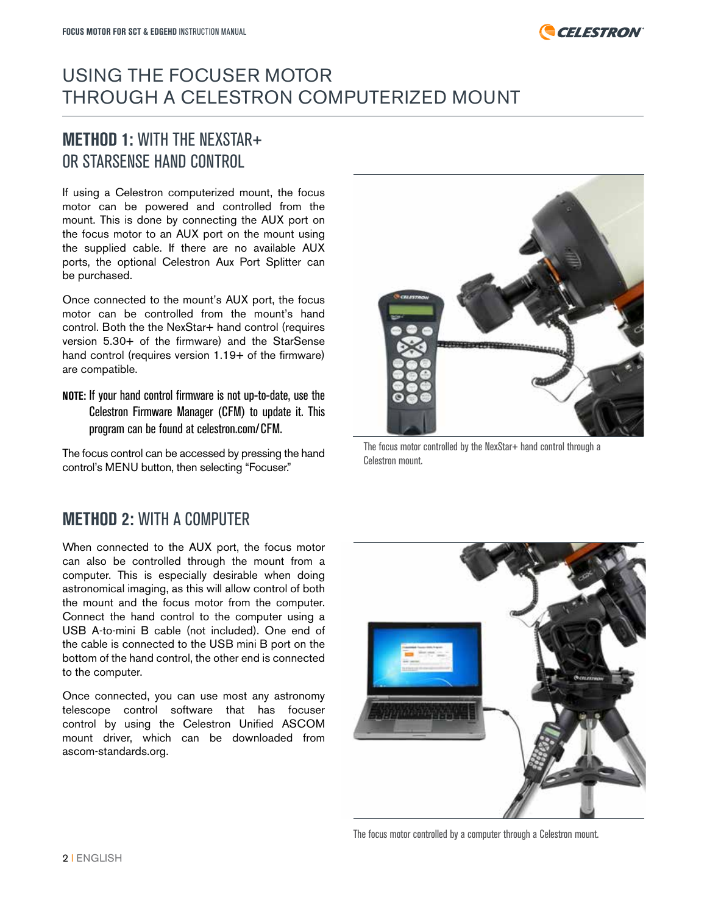

#### USING THE FOCUSER MOTOR THROUGH A CELESTRON COMPUTERIZED MOUNT

#### **METHOD 1:** WITH THE NEXSTAR+ OR STARSENSE HAND CONTROL

If using a Celestron computerized mount, the focus motor can be powered and controlled from the mount. This is done by connecting the AUX port on the focus motor to an AUX port on the mount using the supplied cable. If there are no available AUX ports, the optional Celestron Aux Port Splitter can be purchased.

Once connected to the mount's AUX port, the focus motor can be controlled from the mount's hand control. Both the the NexStar+ hand control (requires version 5.30+ of the firmware) and the StarSense hand control (requires version 1.19+ of the firmware) are compatible.

**NOTE:** If your hand control firmware is not up-to-date, use the Celestron Firmware Manager (CFM) to update it. This program can be found at celestron.com/CFM.

The focus control can be accessed by pressing the hand control's MENU button, then selecting "Focuser."

#### **METHOD 2:** WITH A COMPUTER

When connected to the AUX port, the focus motor can also be controlled through the mount from a computer. This is especially desirable when doing astronomical imaging, as this will allow control of both the mount and the focus motor from the computer. Connect the hand control to the computer using a USB A-to-mini B cable (not included). One end of the cable is connected to the USB mini B port on the bottom of the hand control, the other end is connected to the computer.

Once connected, you can use most any astronomy telescope control software that has focuser control by using the Celestron Unified ASCOM mount driver, which can be downloaded from ascom-standards.org.



The focus motor controlled by the NexStar+ hand control through a Celestron mount.



The focus motor controlled by a computer through a Celestron mount.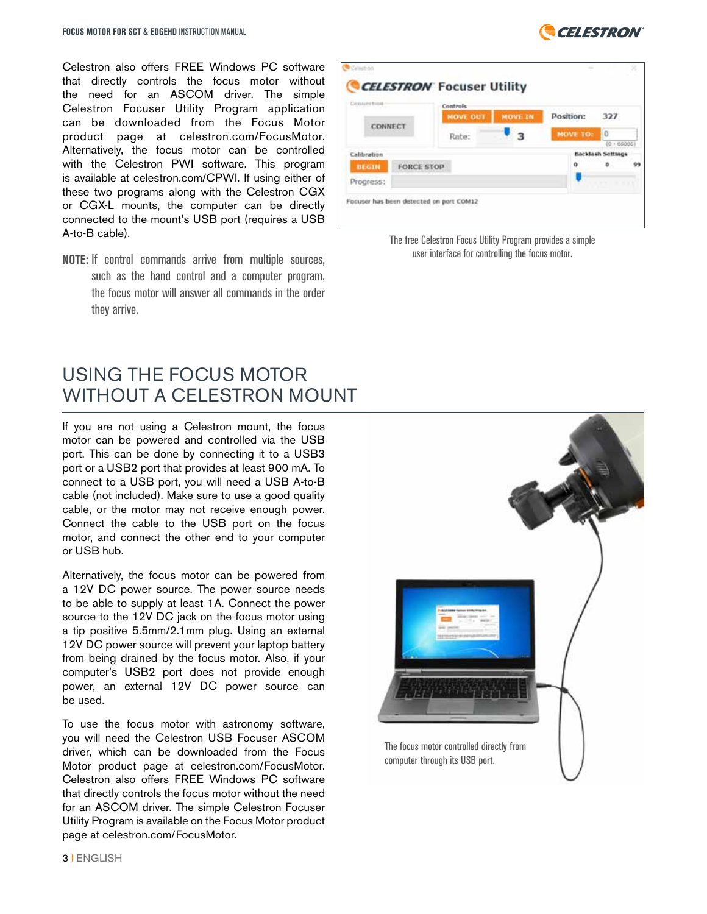Celestron also offers FREE Windows PC software that directly controls the focus motor without the need for an ASCOM driver. The simple Celestron Focuser Utility Program application can be downloaded from the Focus Motor product page at celestron.com/FocusMotor. Alternatively, the focus motor can be controlled with the Celestron PWI software. This program is available at celestron.com/CPWI. If using either of these two programs along with the Celestron CGX or CGX-L mounts, the computer can be directly connected to the mount's USB port (requires a USB A-to-B cable).

**NOTE:** If control commands arrive from multiple sources, such as the hand control and a computer program, the focus motor will answer all commands in the order they arrive.

#### USING THE FOCUS MOTOR WITHOUT A CELESTRON MOUNT

If you are not using a Celestron mount, the focus motor can be powered and controlled via the USB port. This can be done by connecting it to a USB3 port or a USB2 port that provides at least 900 mA. To connect to a USB port, you will need a USB A-to-B cable (not included). Make sure to use a good quality cable, or the motor may not receive enough power. Connect the cable to the USB port on the focus motor, and connect the other end to your computer or USB hub.

Alternatively, the focus motor can be powered from a 12V DC power source. The power source needs to be able to supply at least 1A. Connect the power source to the 12V DC jack on the focus motor using a tip positive 5.5mm/2.1mm plug. Using an external 12V DC power source will prevent your laptop battery from being drained by the focus motor. Also, if your computer's USB2 port does not provide enough power, an external 12V DC power source can be used.

To use the focus motor with astronomy software, you will need the Celestron USB Focuser ASCOM driver, which can be downloaded from the Focus Motor product page at celestron.com/FocusMotor. Celestron also offers FREE Windows PC software that directly controls the focus motor without the need for an ASCOM driver. The simple Celestron Focuser Utility Program is available on the Focus Motor product page at celestron.com/FocusMotor.



The free Celestron Focus Utility Program provides a simple user interface for controlling the focus motor.



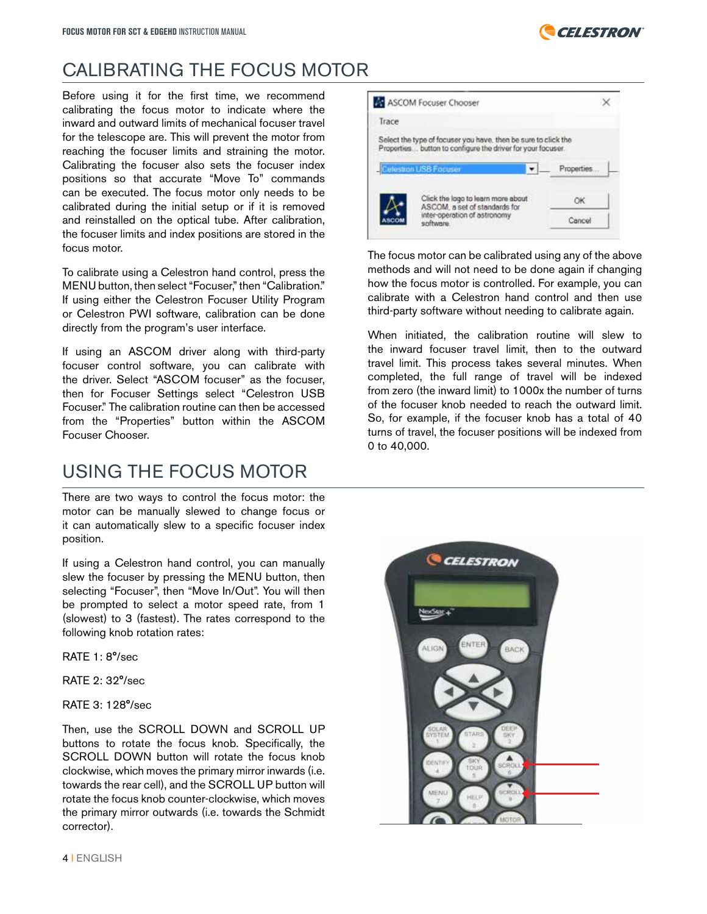

#### CALIBRATING THE FOCUS MOTOR

Before using it for the first time, we recommend calibrating the focus motor to indicate where the inward and outward limits of mechanical focuser travel for the telescope are. This will prevent the motor from reaching the focuser limits and straining the motor. Calibrating the focuser also sets the focuser index positions so that accurate "Move To" commands can be executed. The focus motor only needs to be calibrated during the initial setup or if it is removed and reinstalled on the optical tube. After calibration, the focuser limits and index positions are stored in the focus motor.

To calibrate using a Celestron hand control, press the MENU button, then select "Focuser," then "Calibration." If using either the Celestron Focuser Utility Program or Celestron PWI software, calibration can be done directly from the program's user interface.

If using an ASCOM driver along with third-party focuser control software, you can calibrate with the driver. Select "ASCOM focuser" as the focuser, then for Focuser Settings select "Celestron USB Focuser." The calibration routine can then be accessed from the "Properties" button within the ASCOM Focuser Chooser.

#### USING THE FOCUS MOTOR

There are two ways to control the focus motor: the motor can be manually slewed to change focus or it can automatically slew to a specific focuser index position.

If using a Celestron hand control, you can manually slew the focuser by pressing the MENU button, then selecting "Focuser", then "Move In/Out". You will then be prompted to select a motor speed rate, from 1 (slowest) to 3 (fastest). The rates correspond to the following knob rotation rates:

RATE 1: 8°/sec

RATE 2: 32°/sec

RATE 3: 128°/sec

Then, use the SCROLL DOWN and SCROLL UP buttons to rotate the focus knob. Specifically, the SCROLL DOWN button will rotate the focus knob clockwise, which moves the primary mirror inwards (i.e. towards the rear cell), and the SCROLL UP button will rotate the focus knob counter-clockwise, which moves the primary mirror outwards (i.e. towards the Schmidt corrector).



The focus motor can be calibrated using any of the above methods and will not need to be done again if changing how the focus motor is controlled. For example, you can calibrate with a Celestron hand control and then use third-party software without needing to calibrate again.

When initiated, the calibration routine will slew to the inward focuser travel limit, then to the outward travel limit. This process takes several minutes. When completed, the full range of travel will be indexed from zero (the inward limit) to 1000x the number of turns of the focuser knob needed to reach the outward limit. So, for example, if the focuser knob has a total of 40 turns of travel, the focuser positions will be indexed from 0 to 40,000.

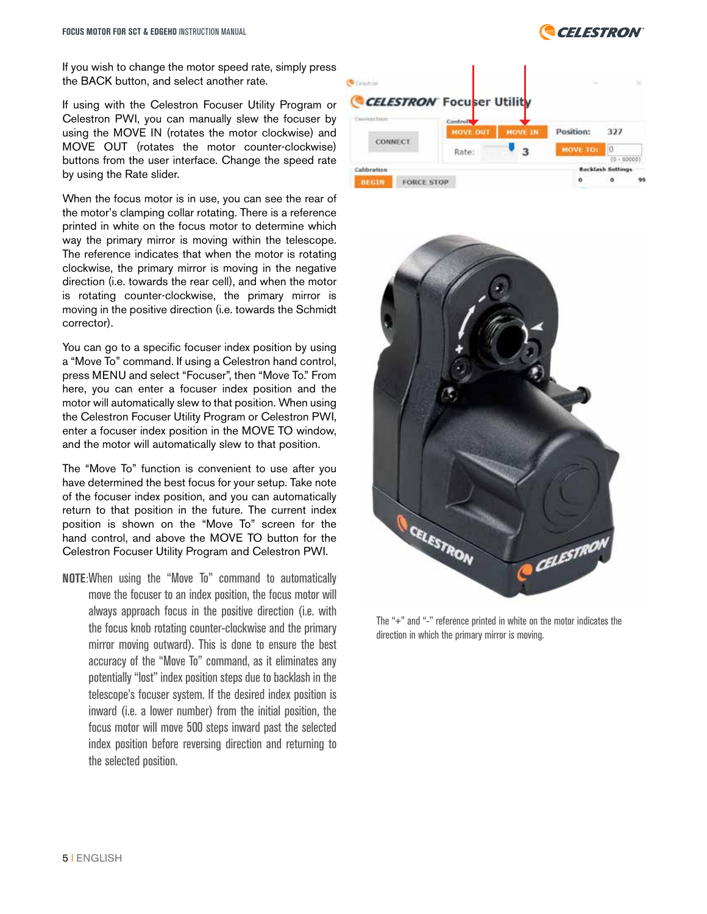

If you wish to change the motor speed rate, simply press the BACK button, and select another rate.

If using with the Celestron Focuser Utility Program or Celestron PWI, you can manually slew the focuser by using the MOVE IN (rotates the motor clockwise) and MOVE OUT (rotates the motor counter-clockwise) buttons from the user interface. Change the speed rate by using the Rate slider.

When the focus motor is in use, you can see the rear of the motor's clamping collar rotating. There is a reference printed in white on the focus motor to determine which way the primary mirror is moving within the telescope. The reference indicates that when the motor is rotating clockwise, the primary mirror is moving in the negative direction (i.e. towards the rear cell), and when the motor is rotating counter-clockwise, the primary mirror is moving in the positive direction (i.e. towards the Schmidt corrector).

You can go to a specific focuser index position by using a "Move To" command. If using a Celestron hand control, press MENU and select "Focuser", then "Move To." From here, you can enter a focuser index position and the motor will automatically slew to that position. When using the Celestron Focuser Utility Program or Celestron PWI, enter a focuser index position in the MOVE TO window, and the motor will automatically slew to that position.

The "Move To" function is convenient to use after you have determined the best focus for your setup. Take note of the focuser index position, and you can automatically return to that position in the future. The current index position is shown on the "Move To" screen for the hand control, and above the MOVE TO button for the Celestron Focuser Utility Program and Celestron PWI.

**NOTE**:When using the "Move To" command to automatically move the focuser to an index position, the focus motor will always approach focus in the positive direction (i.e. with the focus knob rotating counter-clockwise and the primary mirror moving outward). This is done to ensure the best accuracy of the "Move To" command, as it eliminates any potentially "lost" index position steps due to backlash in the telescope's focuser system. If the desired index position is inward (i.e. a lower number) from the initial position, the focus motor will move 500 steps inward past the selected index position before reversing direction and returning to the selected position.





The "+" and "-" reference printed in white on the motor indicates the direction in which the primary mirror is moving.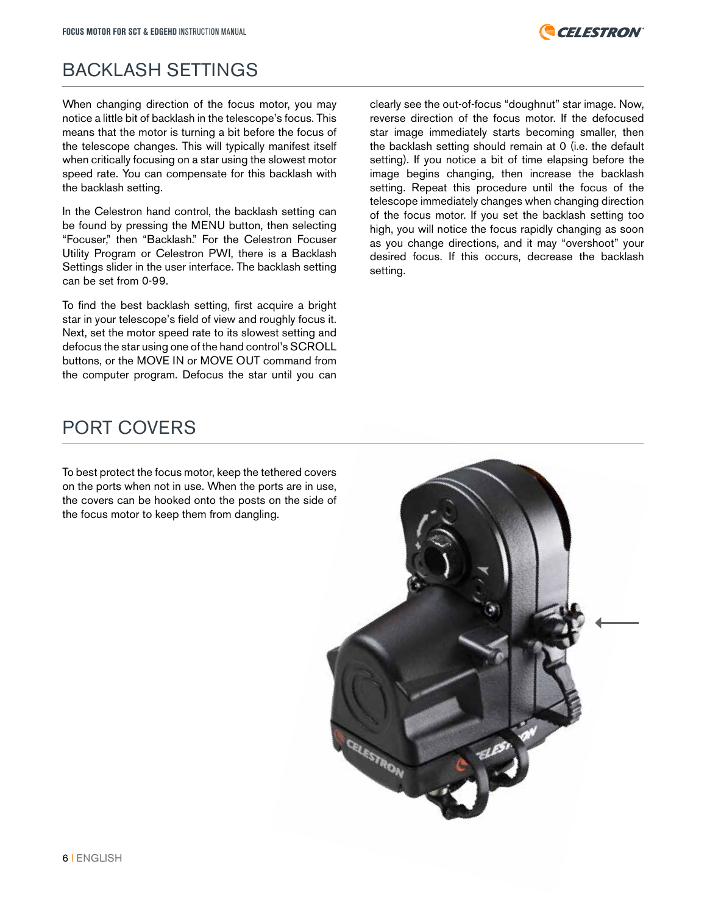

#### BACKLASH SETTINGS

When changing direction of the focus motor, you may notice a little bit of backlash in the telescope's focus. This means that the motor is turning a bit before the focus of the telescope changes. This will typically manifest itself when critically focusing on a star using the slowest motor speed rate. You can compensate for this backlash with the backlash setting.

In the Celestron hand control, the backlash setting can be found by pressing the MENU button, then selecting "Focuser," then "Backlash." For the Celestron Focuser Utility Program or Celestron PWI, there is a Backlash Settings slider in the user interface. The backlash setting can be set from 0-99.

To find the best backlash setting, first acquire a bright star in your telescope's field of view and roughly focus it. Next, set the motor speed rate to its slowest setting and defocus the star using one of the hand control's SCROLL buttons, or the MOVE IN or MOVE OUT command from the computer program. Defocus the star until you can

clearly see the out-of-focus "doughnut" star image. Now, reverse direction of the focus motor. If the defocused star image immediately starts becoming smaller, then the backlash setting should remain at 0 (i.e. the default setting). If you notice a bit of time elapsing before the image begins changing, then increase the backlash setting. Repeat this procedure until the focus of the telescope immediately changes when changing direction of the focus motor. If you set the backlash setting too high, you will notice the focus rapidly changing as soon as you change directions, and it may "overshoot" your desired focus. If this occurs, decrease the backlash setting.

#### PORT COVERS

To best protect the focus motor, keep the tethered covers on the ports when not in use. When the ports are in use, the covers can be hooked onto the posts on the side of the focus motor to keep them from dangling.

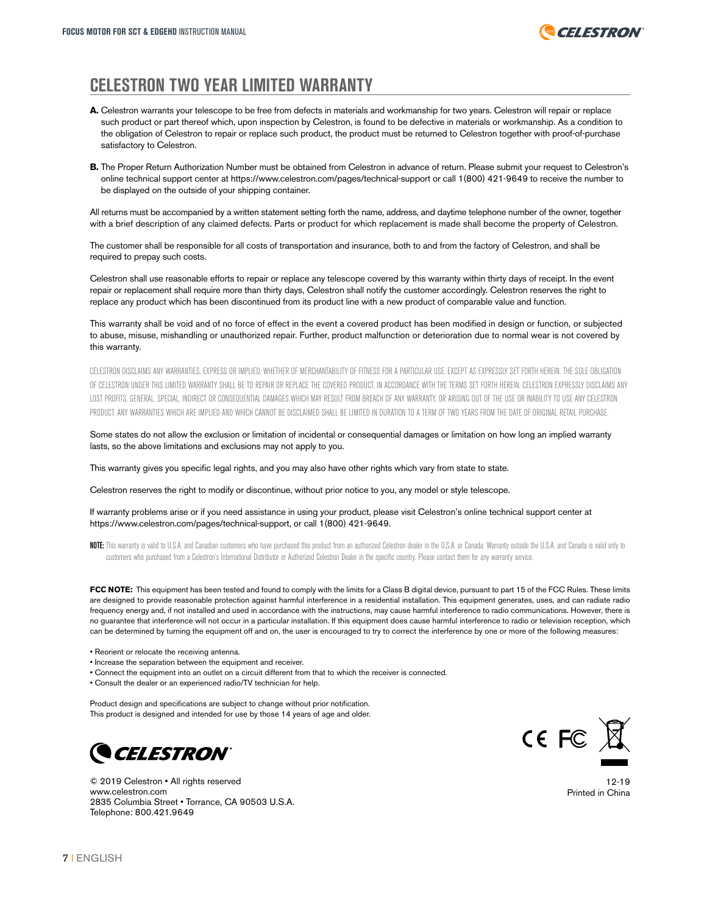

#### **CELESTRON TWO YEAR LIMITED WARRANTY**

- **A.** Celestron warrants your telescope to be free from defects in materials and workmanship for two years. Celestron will repair or replace such product or part thereof which, upon inspection by Celestron, is found to be defective in materials or workmanship. As a condition to the obligation of Celestron to repair or replace such product, the product must be returned to Celestron together with proof-of-purchase satisfactory to Celestron.
- **B.** The Proper Return Authorization Number must be obtained from Celestron in advance of return. Please submit your request to Celestron's online technical support center at https://www.celestron.com/pages/technical-support or call 1(800) 421-9649 to receive the number to be displayed on the outside of your shipping container.

All returns must be accompanied by a written statement setting forth the name, address, and daytime telephone number of the owner, together with a brief description of any claimed defects. Parts or product for which replacement is made shall become the property of Celestron.

The customer shall be responsible for all costs of transportation and insurance, both to and from the factory of Celestron, and shall be required to prepay such costs.

Celestron shall use reasonable efforts to repair or replace any telescope covered by this warranty within thirty days of receipt. In the event repair or replacement shall require more than thirty days, Celestron shall notify the customer accordingly. Celestron reserves the right to replace any product which has been discontinued from its product line with a new product of comparable value and function.

This warranty shall be void and of no force of effect in the event a covered product has been modified in design or function, or subjected to abuse, misuse, mishandling or unauthorized repair. Further, product malfunction or deterioration due to normal wear is not covered by this warranty.

CELESTRON DISCLAIMS ANY WARRANTIES, EXPRESS OR IMPLIED, WHETHER OF MERCHANTABILITY OF FITNESS FOR A PARTICULAR USE, EXCEPT AS EXPRESSLY SET FORTH HEREIN. THE SOLE OBLIGATION OF CELESTRON UNDER THIS LIMITED WARRANTY SHALL BE TO REPAIR OR REPLACE THE COVERED PRODUCT. IN ACCORDANCE WITH THE TERMS SET EORTH HEREIN, CELESTRON EXPRESSIV DISCLAIMS ANY LOST PROFITS, GENERAL, SPECIAL, INDIRECT OR CONSEQUENTIAL DAMAGES WHICH MAY RESULT FROM BREACH OF ANY WARRANTY, OR ARISING OUT OF THE USE OR INABILITY TO USE ANY CELESTRON PRODUCT. ANY WARRANTIES WHICH ARE IMPLIED AND WHICH CANNOT BE DISCLAIMED SHALL BE LIMITED IN DURATION TO A TERM OF TWO YEARS FROM THE DATE OF ORIGINAL RETAIL PURCHASE

Some states do not allow the exclusion or limitation of incidental or consequential damages or limitation on how long an implied warranty lasts, so the above limitations and exclusions may not apply to you.

This warranty gives you specific legal rights, and you may also have other rights which vary from state to state.

Celestron reserves the right to modify or discontinue, without prior notice to you, any model or style telescope.

If warranty problems arise or if you need assistance in using your product, please visit Celestron's online technical support center at https://www.celestron.com/pages/technical-support, or call 1(800) 421-9649.

NOTE: This warranty is valid to U.S.A. and Canadian customers who have purchased this product from an authorized Celestron dealer in the U.S.A. or Canada. Warranty outside the U.S.A. and Canada is valid only to customers who purchased from a Celestron's International Distributor or Authorized Celestron Dealer in the specific country. Please contact them for any warranty service.

**FCC NOTE:** This equipment has been tested and found to comply with the limits for a Class B digital device, pursuant to part 15 of the FCC Rules. These limits are designed to provide reasonable protection against harmful interference in a residential installation. This equipment generates, uses, and can radiate radio frequency energy and, if not installed and used in accordance with the instructions, may cause harmful interference to radio communications. However, there is no guarantee that interference will not occur in a particular installation. If this equipment does cause harmful interference to radio or television reception, which can be determined by turning the equipment off and on, the user is encouraged to try to correct the interference by one or more of the following measures:

- Reorient or relocate the receiving antenna.
- Increase the separation between the equipment and receiver.
- Connect the equipment into an outlet on a circuit different from that to which the receiver is connected.
- Consult the dealer or an experienced radio/TV technician for help.

Product design and specifications are subject to change without prior notification. This product is designed and intended for use by those 14 years of age and older.



© 2019 Celestron • All rights reserved www.celestron.com 2835 Columbia Street • Torrance, CA 90503 U.S.A. Telephone: 800.421.9649



12-19 Printed in China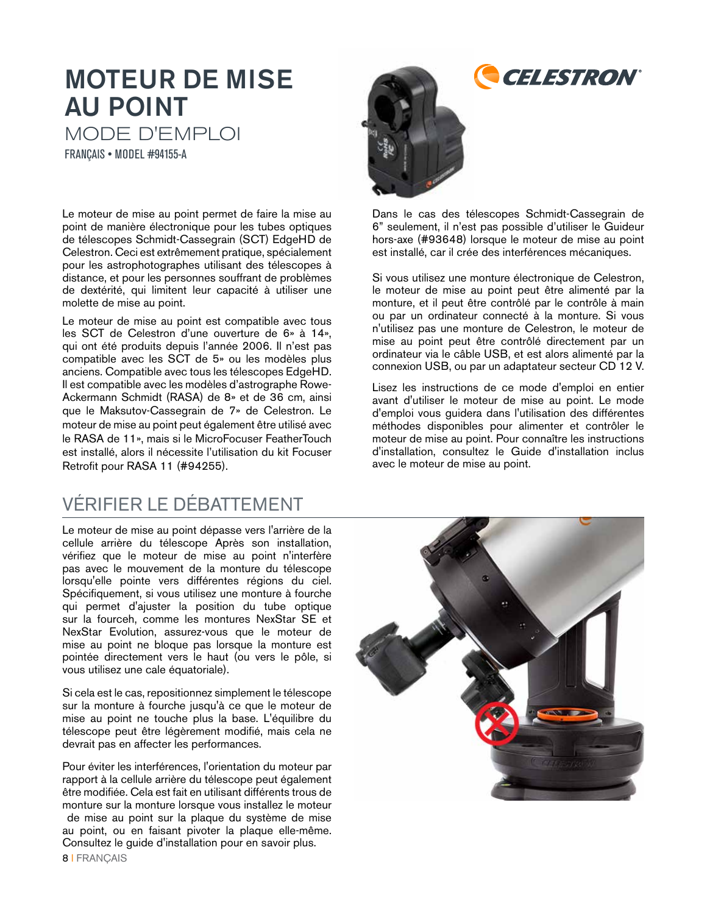# MOTEUR DE MISE AU POINT MODE D'EMPLOI

FRANÇAIS • MODEL #94155-A

Le moteur de mise au point permet de faire la mise au point de manière électronique pour les tubes optiques de télescopes Schmidt-Cassegrain (SCT) EdgeHD de Celestron. Ceci est extrêmement pratique, spécialement pour les astrophotographes utilisant des télescopes à distance, et pour les personnes souffrant de problèmes de dextérité, qui limitent leur capacité à utiliser une molette de mise au point.

Le moteur de mise au point est compatible avec tous les SCT de Celestron d'une ouverture de 6» à 14», qui ont été produits depuis l'année 2006. Il n'est pas compatible avec les SCT de 5» ou les modèles plus anciens. Compatible avec tous les télescopes EdgeHD. Il est compatible avec les modèles d'astrographe Rowe-Ackermann Schmidt (RASA) de 8» et de 36 cm, ainsi que le Maksutov-Cassegrain de 7» de Celestron. Le moteur de mise au point peut également être utilisé avec le RASA de 11», mais si le MicroFocuser FeatherTouch est installé, alors il nécessite l'utilisation du kit Focuser Retrofit pour RASA 11 (#94255).

### VÉRIFIER LE DÉBATTEMENT

Le moteur de mise au point dépasse vers l'arrière de la cellule arrière du télescope Après son installation, vérifiez que le moteur de mise au point n'interfère pas avec le mouvement de la monture du télescope lorsqu'elle pointe vers différentes régions du ciel. Spécifiquement, si vous utilisez une monture à fourche qui permet d'ajuster la position du tube optique sur la fourceh, comme les montures NexStar SE et NexStar Evolution, assurez-vous que le moteur de mise au point ne bloque pas lorsque la monture est pointée directement vers le haut (ou vers le pôle, si vous utilisez une cale équatoriale).

Si cela est le cas, repositionnez simplement le télescope sur la monture à fourche jusqu'à ce que le moteur de mise au point ne touche plus la base. L'équilibre du télescope peut être légèrement modifié, mais cela ne devrait pas en affecter les performances.

Pour éviter les interférences, l'orientation du moteur par rapport à la cellule arrière du télescope peut également être modifiée. Cela est fait en utilisant différents trous de monture sur la monture lorsque vous installez le moteur de mise au point sur la plaque du système de mise au point, ou en faisant pivoter la plaque elle-même. Consultez le guide d'installation pour en savoir plus.



Dans le cas des télescopes Schmidt-Cassegrain de 6" seulement, il n'est pas possible d'utiliser le Guideur hors-axe (#93648) lorsque le moteur de mise au point est installé, car il crée des interférences mécaniques.

Si vous utilisez une monture électronique de Celestron, le moteur de mise au point peut être alimenté par la monture, et il peut être contrôlé par le contrôle à main ou par un ordinateur connecté à la monture. Si vous n'utilisez pas une monture de Celestron, le moteur de mise au point peut être contrôlé directement par un ordinateur via le câble USB, et est alors alimenté par la connexion USB, ou par un adaptateur secteur CD 12 V.

Lisez les instructions de ce mode d'emploi en entier avant d'utiliser le moteur de mise au point. Le mode d'emploi vous guidera dans l'utilisation des différentes méthodes disponibles pour alimenter et contrôler le moteur de mise au point. Pour connaître les instructions d'installation, consultez le Guide d'installation inclus avec le moteur de mise au point.

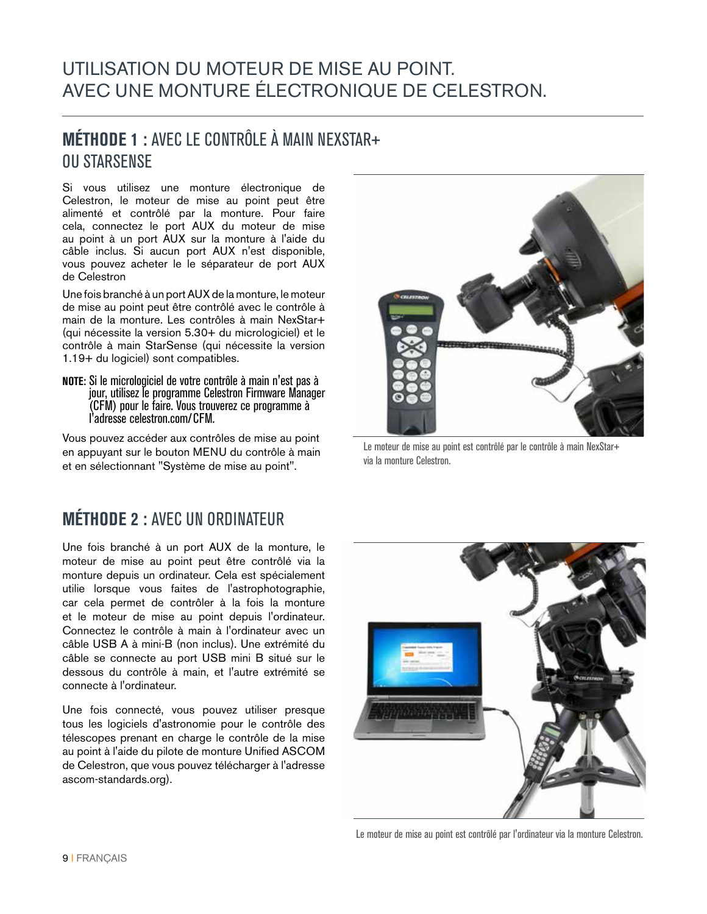#### UTILISATION DU MOTEUR DE MISE AU POINT. AVEC UNE MONTURE ÉLECTRONIQUE DE CELESTRON.

#### **MÉTHODE 1 :** AVEC LE CONTRÔLE À MAIN NEXSTAR+ OU STARSENSE

Si vous utilisez une monture électronique de Celestron, le moteur de mise au point peut être alimenté et contrôlé par la monture. Pour faire cela, connectez le port AUX du moteur de mise au point à un port AUX sur la monture à l'aide du câble inclus. Si aucun port AUX n'est disponible, vous pouvez acheter le le séparateur de port AUX de Celestron

Une fois branché à un port AUX de la monture, le moteur de mise au point peut être contrôlé avec le contrôle à main de la monture. Les contrôles à main NexStar+ (qui nécessite la version 5.30+ du micrologiciel) et le contrôle à main StarSense (qui nécessite la version 1.19+ du logiciel) sont compatibles.

**NOTE:** Si le micrologiciel de votre contrôle à main n'est pas à jour, utilisez le programme Celestron Firmware Manager (CFM) pour le faire. Vous trouverez ce programme à l'adresse celestron.com/CFM.

Vous pouvez accéder aux contrôles de mise au point en appuyant sur le bouton MENU du contrôle à main et en sélectionnant "Système de mise au point".

#### **MÉTHODE 2 :** AVEC UN ORDINATEUR

Une fois branché à un port AUX de la monture, le moteur de mise au point peut être contrôlé via la monture depuis un ordinateur. Cela est spécialement utilie lorsque vous faites de l'astrophotographie, car cela permet de contrôler à la fois la monture et le moteur de mise au point depuis l'ordinateur. Connectez le contrôle à main à l'ordinateur avec un câble USB A à mini-B (non inclus). Une extrémité du câble se connecte au port USB mini B situé sur le dessous du contrôle à main, et l'autre extrémité se connecte à l'ordinateur.

Une fois connecté, vous pouvez utiliser presque tous les logiciels d'astronomie pour le contrôle des télescopes prenant en charge le contrôle de la mise au point à l'aide du pilote de monture Unified ASCOM de Celestron, que vous pouvez télécharger à l'adresse ascom-standards.org).



Le moteur de mise au point est contrôlé par le contrôle à main NexStar+ via la monture Celestron.



Le moteur de mise au point est contrôlé par l'ordinateur via la monture Celestron.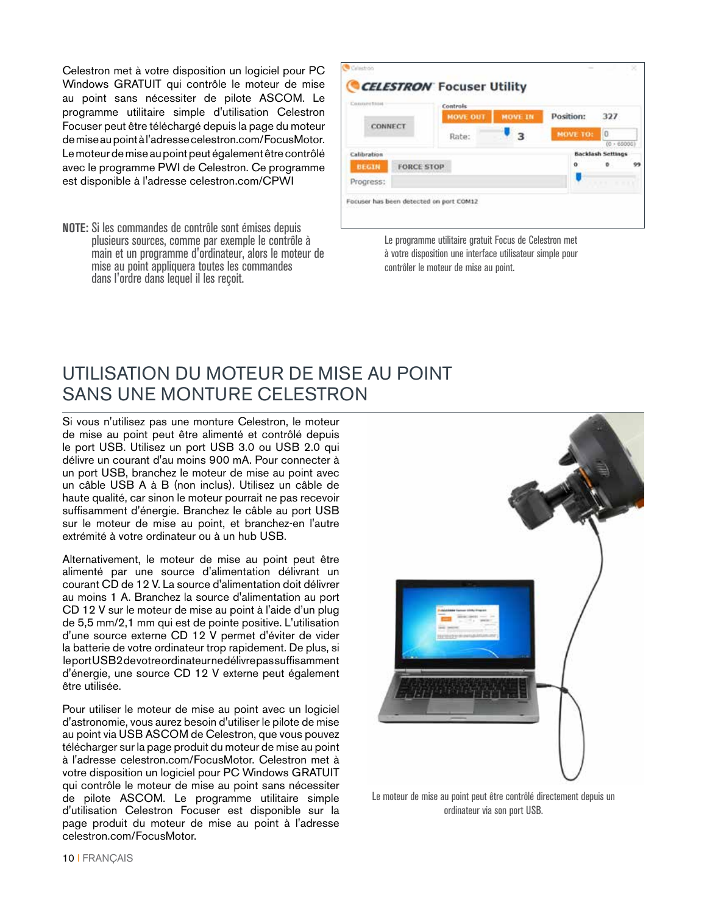Celestron met à votre disposition un logiciel pour PC Windows GRATUIT qui contrôle le moteur de mise au point sans nécessiter de pilote ASCOM. Le programme utilitaire simple d'utilisation Celestron Focuser peut être téléchargé depuis la page du moteur de mise au point à l'adresse celestron.com/FocusMotor. Le moteur de mise au point peut également être contrôlé avec le programme PWI de Celestron. Ce programme est disponible à l'adresse celestron.com/CPWI

**NOTE:** Si les commandes de contrôle sont émises depuis plusieurs sources, comme par exemple le contrôle à main et un programme d'ordinateur, alors le moteur de mise au point appliquera toutes les commandes dans l'ordre dans lequel il les reçoit.

| Connection   | Controls          |                |           |                                       |    |
|--------------|-------------------|----------------|-----------|---------------------------------------|----|
|              | <b>MOVE OUT</b>   | <b>MOVE IN</b> | Position: | 327                                   |    |
| CONNECT      | Rate:             |                | MOVE TO:  | Ho                                    |    |
| Calibration  |                   |                |           | (0.60000)<br><b>Backlash Settings</b> |    |
| <b>BEGIN</b> | <b>FORCE STOP</b> |                | $\alpha$  | $\circ$                               | 99 |
| Progress:    |                   |                |           | $-7.77$<br>$-1$                       |    |

Le programme utilitaire gratuit Focus de Celestron met à votre disposition une interface utilisateur simple pour contrôler le moteur de mise au point.

#### UTILISATION DU MOTEUR DE MISE AU POINT SANS UNE MONTURE CELESTRON

Si vous n'utilisez pas une monture Celestron, le moteur de mise au point peut être alimenté et contrôlé depuis le port USB. Utilisez un port USB 3.0 ou USB 2.0 qui délivre un courant d'au moins 900 mA. Pour connecter à un port USB, branchez le moteur de mise au point avec un câble USB A à B (non inclus). Utilisez un câble de haute qualité, car sinon le moteur pourrait ne pas recevoir suffisamment d'énergie. Branchez le câble au port USB sur le moteur de mise au point, et branchez-en l'autre extrémité à votre ordinateur ou à un hub USB.

Alternativement, le moteur de mise au point peut être alimenté par une source d'alimentation délivrant un courant CD de 12 V. La source d'alimentation doit délivrer au moins 1 A. Branchez la source d'alimentation au port CD 12 V sur le moteur de mise au point à l'aide d'un plug de 5,5 mm/2,1 mm qui est de pointe positive. L'utilisation d'une source externe CD 12 V permet d'éviter de vider la batterie de votre ordinateur trop rapidement. De plus, si le port USB2 de votre ordinateur ne délivre pas suffisamment d'énergie, une source CD 12 V externe peut également être utilisée.

Pour utiliser le moteur de mise au point avec un logiciel d'astronomie, vous aurez besoin d'utiliser le pilote de mise au point via USB ASCOM de Celestron, que vous pouvez télécharger sur la page produit du moteur de mise au point à l'adresse celestron.com/FocusMotor. Celestron met à votre disposition un logiciel pour PC Windows GRATUIT qui contrôle le moteur de mise au point sans nécessiter de pilote ASCOM. Le programme utilitaire simple d'utilisation Celestron Focuser est disponible sur la page produit du moteur de mise au point à l'adresse celestron.com/FocusMotor.



Le moteur de mise au point peut être contrôlé directement depuis un ordinateur via son port USB.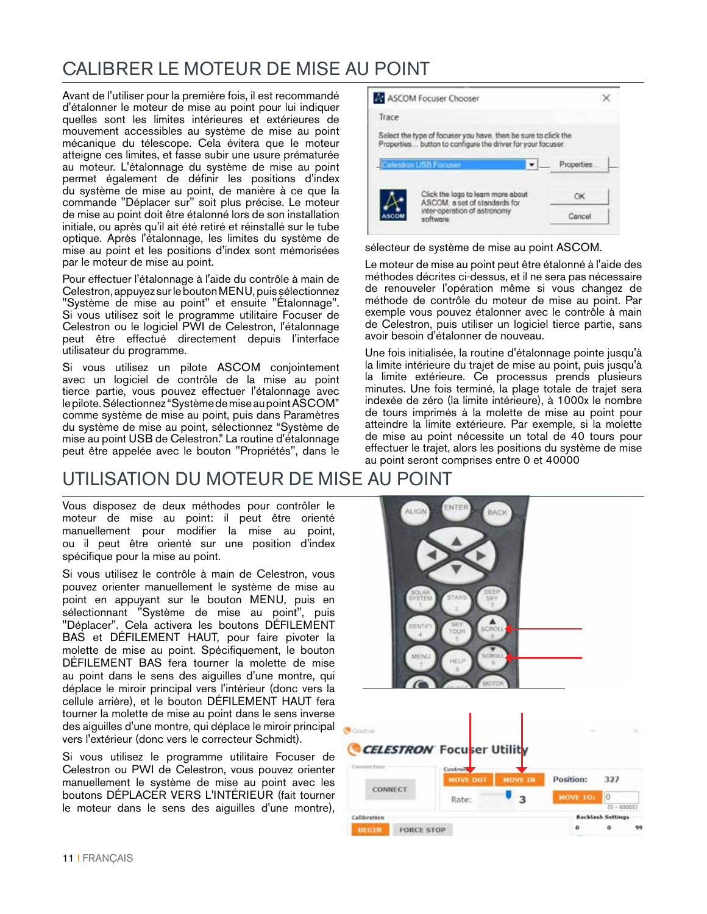#### CALIBRER LE MOTEUR DE MISE AU POINT

Avant de l'utiliser pour la première fois, il est recommandé d'étalonner le moteur de mise au point pour lui indiquer quelles sont les limites intérieures et extérieures de mouvement accessibles au système de mise au point mécanique du télescope. Cela évitera que le moteur atteigne ces limites, et fasse subir une usure prématurée au moteur. L'étalonnage du système de mise au point permet également de définir les positions d'index du système de mise au point, de manière à ce que la commande "Déplacer sur" soit plus précise. Le moteur de mise au point doit être étalonné lors de son installation initiale, ou après qu'il ait été retiré et réinstallé sur le tube optique. Après l'étalonnage, les limites du système de mise au point et les positions d'index sont mémorisées par le moteur de mise au point.

Pour effectuer l'étalonnage à l'aide du contrôle à main de Celestron, appuyez sur le bouton MENU, puis sélectionnez "Système de mise au point" et ensuite "Étalonnage". Si vous utilisez soit le programme utilitaire Focuser de Celestron ou le logiciel PWI de Celestron, l'étalonnage peut être effectué directement depuis l'interface utilisateur du programme.

Si vous utilisez un pilote ASCOM conjointement avec un logiciel de contrôle de la mise au point tierce partie, vous pouvez effectuer l'étalonnage avec le pilote. Sélectionnez "Système de mise au point ASCOM" comme système de mise au point, puis dans Paramètres du système de mise au point, sélectionnez "Système de mise au point USB de Celestron." La routine d'étalonnage peut être appelée avec le bouton "Propriétés", dans le

#### UTILISATION DU MOTEUR DE MISE AU POINT

Vous disposez de deux méthodes pour contrôler le moteur de mise au point: il peut être orienté manuellement pour modifier la mise au point, ou il peut être orienté sur une position d'index spécifique pour la mise au point.

Si vous utilisez le contrôle à main de Celestron, vous pouvez orienter manuellement le système de mise au point en appuyant sur le bouton MENU, puis en sélectionnant "Système de mise au point", puis "Déplacer". Cela activera les boutons DÉFILEMENT BAS et DÉFILEMENT HAUT, pour faire pivoter la molette de mise au point. Spécifiquement, le bouton DÉFILEMENT BAS fera tourner la molette de mise au point dans le sens des aiguilles d'une montre, qui déplace le miroir principal vers l'intérieur (donc vers la cellule arrière), et le bouton DÉFILEMENT HAUT fera tourner la molette de mise au point dans le sens inverse des aiguilles d'une montre, qui déplace le miroir principal vers l'extérieur (donc vers le correcteur Schmidt).

Si vous utilisez le programme utilitaire Focuser de Celestron ou PWI de Celestron, vous pouvez orienter manuellement le système de mise au point avec les boutons DÉPLACER VERS L'INTÉRIEUR (fait tourner le moteur dans le sens des aiguilles d'une montre),



sélecteur de système de mise au point ASCOM.

Le moteur de mise au point peut être étalonné à l'aide des méthodes décrites ci-dessus, et il ne sera pas nécessaire de renouveler l'opération même si vous changez de méthode de contrôle du moteur de mise au point. Par exemple vous pouvez étalonner avec le contrôle à main de Celestron, puis utiliser un logiciel tierce partie, sans avoir besoin d'étalonner de nouveau.

Une fois initialisée, la routine d'étalonnage pointe jusqu'à la limite intérieure du trajet de mise au point, puis jusqu'à la limite extérieure. Ce processus prends plusieurs minutes. Une fois terminé, la plage totale de trajet sera indexée de zéro (la limite intérieure), à 1000x le nombre de tours imprimés à la molette de mise au point pour atteindre la limite extérieure. Par exemple, si la molette de mise au point nécessite un total de 40 tours pour effectuer le trajet, alors les positions du système de mise au point seront comprises entre 0 et 40000

| <b>ALIGN</b>                           | ENTER<br><b>BACK</b>                                                                        |                             |                          |               |
|----------------------------------------|---------------------------------------------------------------------------------------------|-----------------------------|--------------------------|---------------|
| <b>SOLAR</b><br><b>DENTIFY</b><br>MENU | DEEP<br><b>STARS</b><br>SKY<br>ž,<br>SKY.<br><b>SCROLL</b><br>TOUR<br><b>SCROLL</b><br>HELP |                             |                          |               |
| Calastron<br>CELESTRON Focuser Utility | MOTOR                                                                                       |                             |                          | $\mathcal{L}$ |
| Commertion                             | Controls <sup>7</sup><br><b>MOVE OUT</b>                                                    | Position:<br><b>MOVE IN</b> | 327                      |               |
| <b>CONNECT</b>                         | Rate:                                                                                       | <b>MOVE TO: 0</b><br>3      | $(0 - 60000)$            |               |
| Calibration                            |                                                                                             |                             | <b>Backlash Settings</b> |               |
| <b>BEGIN</b><br><b>FORCE STOP</b>      |                                                                                             | ۰                           | ۰                        | 99            |
|                                        |                                                                                             |                             |                          |               |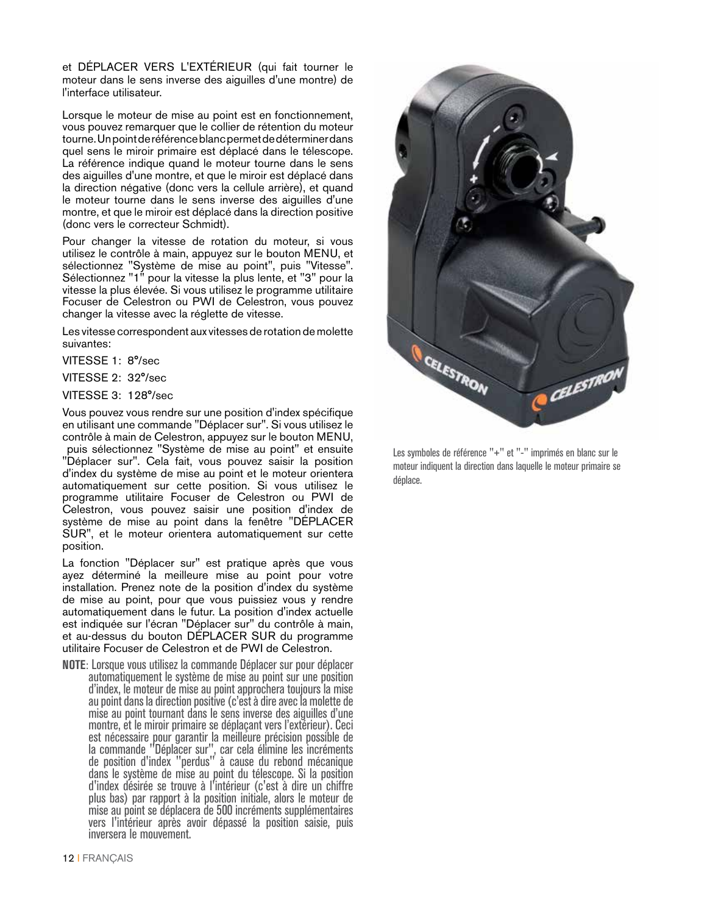et DÉPLACER VERS L'EXTÉRIEUR (qui fait tourner le moteur dans le sens inverse des aiguilles d'une montre) de l'interface utilisateur.

Lorsque le moteur de mise au point est en fonctionnement, vous pouvez remarquer que le collier de rétention du moteur tourne. Un point de référence blanc permet de déterminer dans quel sens le miroir primaire est déplacé dans le télescope. La référence indique quand le moteur tourne dans le sens des aiguilles d'une montre, et que le miroir est déplacé dans la direction négative (donc vers la cellule arrière), et quand le moteur tourne dans le sens inverse des aiguilles d'une montre, et que le miroir est déplacé dans la direction positive (donc vers le correcteur Schmidt).

Pour changer la vitesse de rotation du moteur, si vous utilisez le contrôle à main, appuyez sur le bouton MENU, et sélectionnez "Système de mise au point", puis "Vitesse". Sélectionnez "1" pour la vitesse la plus lente, et "3" pour la vitesse la plus élevée. Si vous utilisez le programme utilitaire Focuser de Celestron ou PWI de Celestron, vous pouvez changer la vitesse avec la réglette de vitesse.

Les vitesse correspondent aux vitesses de rotation de molette suivantes:

VITESSE 1: 8°/sec

VITESSE 2: 32°/sec

VITESSE 3: 128°/sec

Vous pouvez vous rendre sur une position d'index spécifique en utilisant une commande "Déplacer sur". Si vous utilisez le contrôle à main de Celestron, appuyez sur le bouton MENU, puis sélectionnez "Système de mise au point" et ensuite "Déplacer sur". Cela fait, vous pouvez saisir la position d'index du système de mise au point et le moteur orientera automatiquement sur cette position. Si vous utilisez le programme utilitaire Focuser de Celestron ou PWI de Celestron, vous pouvez saisir une position d'index de système de mise au point dans la fenêtre "DÉPLACER SUR", et le moteur orientera automatiquement sur cette position.

La fonction "Déplacer sur" est pratique après que vous ayez déterminé la meilleure mise au point pour votre installation. Prenez note de la position d'index du système de mise au point, pour que vous puissiez vous y rendre automatiquement dans le futur. La position d'index actuelle est indiquée sur l'écran "Déplacer sur" du contrôle à main, et au-dessus du bouton DÉPLACER SUR du programme utilitaire Focuser de Celestron et de PWI de Celestron.

**NOTE**: Lorsque vous utilisez la commande Déplacer sur pour déplacer automatiquement le système de mise au point sur une position d'index, le moteur de mise au point approchera toujours la mise au point dans la direction positive (c'est à dire avec la molette de mise au point tournant dans le sens inverse des aiguilles d'une montre, et le miroir primaire se déplaçant vers l'extérieur). Ceci est nécessaire pour garantir la meilleure précision possible de la commande "Déplacer sur", car cela élimine les incréments de position d'index "perdus" à cause du rebond mécanique dans le système de mise au point du télescope. Si la position d'index désirée se trouve à l'intérieur (c'est à dire un chiffre plus bas) par rapport à la position initiale, alors le moteur de mise au point se déplacera de 500 incréments supplémentaires vers l'intérieur après avoir dépassé la position saisie, puis inversera le mouvement.



Les symboles de référence "+" et "-" imprimés en blanc sur le moteur indiquent la direction dans laquelle le moteur primaire se déplace.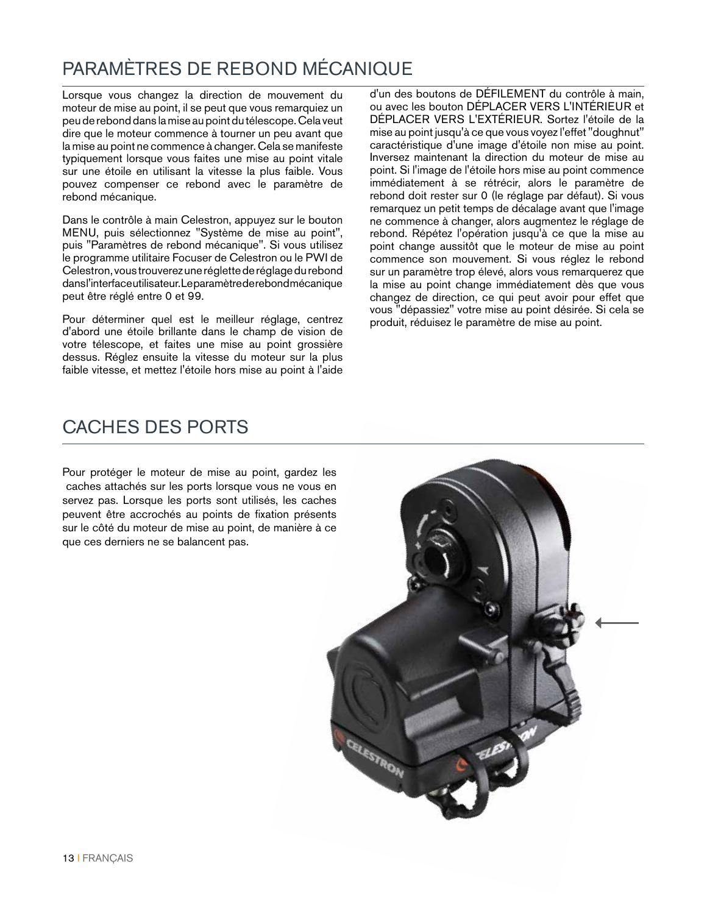#### PARAMÈTRES DE REBOND MÉCANIQUE

Lorsque vous changez la direction de mouvement du moteur de mise au point, il se peut que vous remarquiez un peu de rebond dans la mise au point du télescope. Cela veut dire que le moteur commence à tourner un peu avant que la mise au point ne commence à changer. Cela se manifeste typiquement lorsque vous faites une mise au point vitale sur une étoile en utilisant la vitesse la plus faible. Vous pouvez compenser ce rebond avec le paramètre de rebond mécanique.

Dans le contrôle à main Celestron, appuyez sur le bouton MENU, puis sélectionnez "Système de mise au point", puis "Paramètres de rebond mécanique". Si vous utilisez le programme utilitaire Focuser de Celestron ou le PWI de Celestron, vous trouverez une réglette de réglage du rebond dans l'interface utilisateur. Le paramètre de rebond mécanique peut être réglé entre 0 et 99.

Pour déterminer quel est le meilleur réglage, centrez d'abord une étoile brillante dans le champ de vision de votre télescope, et faites une mise au point grossière dessus. Réglez ensuite la vitesse du moteur sur la plus faible vitesse, et mettez l'étoile hors mise au point à l'aide

d'un des boutons de DÉFILEMENT du contrôle à main, ou avec les bouton DÉPLACER VERS L'INTÉRIEUR et DÉPLACER VERS L'EXTÉRIEUR. Sortez l'étoile de la mise au point jusqu'à ce que vous voyez l'effet "doughnut" caractéristique d'une image d'étoile non mise au point. Inversez maintenant la direction du moteur de mise au point. Si l'image de l'étoile hors mise au point commence immédiatement à se rétrécir, alors le paramètre de rebond doit rester sur 0 (le réglage par défaut). Si vous remarquez un petit temps de décalage avant que l'image ne commence à changer, alors augmentez le réglage de rebond. Répétez l'opération jusqu'à ce que la mise au point change aussitôt que le moteur de mise au point commence son mouvement. Si vous réglez le rebond sur un paramètre trop élevé, alors vous remarquerez que la mise au point change immédiatement dès que vous changez de direction, ce qui peut avoir pour effet que vous "dépassiez" votre mise au point désirée. Si cela se produit, réduisez le paramètre de mise au point.

#### CACHES DES PORTS

Pour protéger le moteur de mise au point, gardez les caches attachés sur les ports lorsque vous ne vous en servez pas. Lorsque les ports sont utilisés, les caches peuvent être accrochés au points de fixation présents sur le côté du moteur de mise au point, de manière à ce que ces derniers ne se balancent pas.

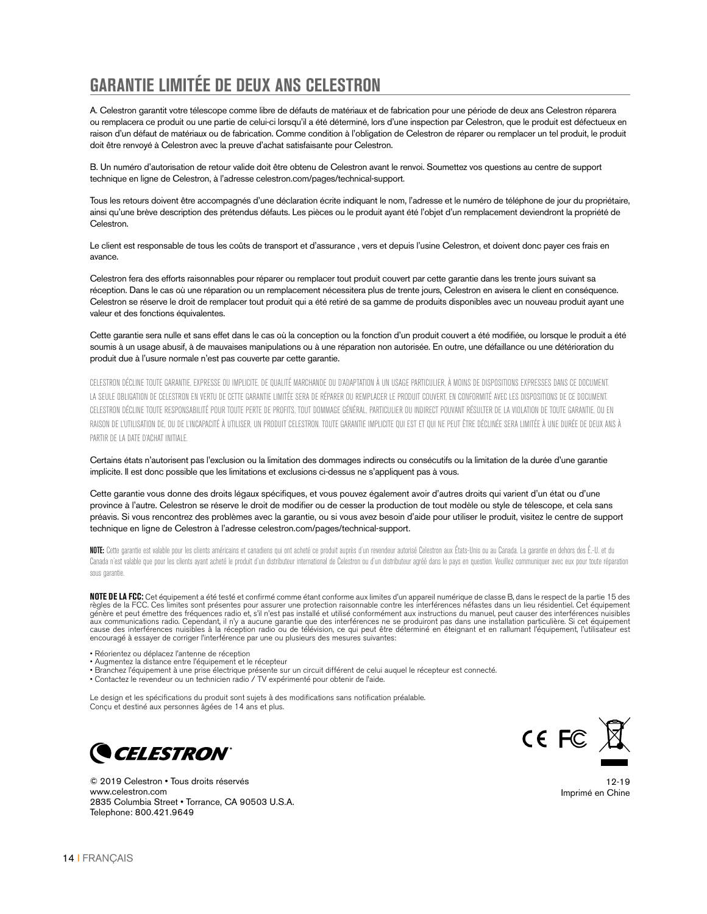#### **GARANTIE LIMITÉE DE DEUX ANS CELESTRON**

A. Celestron garantit votre télescope comme libre de défauts de matériaux et de fabrication pour une période de deux ans Celestron réparera ou remplacera ce produit ou une partie de celui-ci lorsqu'il a été déterminé, lors d'une inspection par Celestron, que le produit est défectueux en raison d'un défaut de matériaux ou de fabrication. Comme condition à l'obligation de Celestron de réparer ou remplacer un tel produit, le produit doit être renvoyé à Celestron avec la preuve d'achat satisfaisante pour Celestron.

B. Un numéro d'autorisation de retour valide doit être obtenu de Celestron avant le renvoi. Soumettez vos questions au centre de support technique en ligne de Celestron, à l'adresse celestron.com/pages/technical-support.

Tous les retours doivent être accompagnés d'une déclaration écrite indiquant le nom, l'adresse et le numéro de téléphone de jour du propriétaire, ainsi qu'une brève description des prétendus défauts. Les pièces ou le produit ayant été l'objet d'un remplacement deviendront la propriété de Celestron.

Le client est responsable de tous les coûts de transport et d'assurance , vers et depuis l'usine Celestron, et doivent donc payer ces frais en avance.

Celestron fera des efforts raisonnables pour réparer ou remplacer tout produit couvert par cette garantie dans les trente jours suivant sa réception. Dans le cas où une réparation ou un remplacement nécessitera plus de trente jours, Celestron en avisera le client en conséquence. Celestron se réserve le droit de remplacer tout produit qui a été retiré de sa gamme de produits disponibles avec un nouveau produit ayant une valeur et des fonctions équivalentes.

Cette garantie sera nulle et sans effet dans le cas où la conception ou la fonction d'un produit couvert a été modifiée, ou lorsque le produit a été soumis à un usage abusif, à de mauvaises manipulations ou à une réparation non autorisée. En outre, une défaillance ou une détérioration du produit due à l'usure normale n'est pas couverte par cette garantie.

CELESTRON DÉCLINE TOUTE GARANTIE, EXPRESSE OU IMPLICITE, DE QUALITÉ MARCHANDE OU D'ADAPTATION À UN USAGE PARTICULIER, À MOINS DE DISPOSITIONS EXPRESSES DANS CE DOCUMENT. LA SEULE OBLIGATION DE CELESTRON EN VERTU DE CETTE GARANTIE LIMITÉE SERA DE RÉPARER OU REMPLACER LE PRODUIT COUVERT, EN CONFORMITÉ AVEC LES DISPOSITIONS DE CE DOCUMENT. CELESTRON DÉCLINE TOUTE RESPONSABILITÉ POUR TOUTE PERTE DE PROFITS, TOUT DOMMAGE GÉNÉRAL, PARTICULIER OU INDIRECT POUVANT RÉSULTER DE LA VIOLATION DE TOUTE GARANTIE, OU EN RAISON DE L'UTILISATION DE, OU DE L'INCAPACITÉ À UTILISER, UN PRODUIT CELESTRON. TOUTE GARANTIE IMPLICITE QUI EST ET QUI NE PEUT ÊTRE DÉCLINÉE SERA LIMITÉE À UNE DURÉE DE DEUX ANS À PARTIR DE LA DATE D'ACHAT INITIALE.

Certains états n'autorisent pas l'exclusion ou la limitation des dommages indirects ou consécutifs ou la limitation de la durée d'une garantie implicite. Il est donc possible que les limitations et exclusions ci-dessus ne s'appliquent pas à vous.

Cette garantie vous donne des droits légaux spécifiques, et vous pouvez également avoir d'autres droits qui varient d'un état ou d'une province à l'autre. Celestron se réserve le droit de modifier ou de cesser la production de tout modèle ou style de télescope, et cela sans préavis. Si vous rencontrez des problèmes avec la garantie, ou si vous avez besoin d'aide pour utiliser le produit, visitez le centre de support technique en ligne de Celestron à l'adresse celestron.com/pages/technical-support.

NOTE: Cette garantie est valable pour les clients américains et canadiens qui ont acheté ce produit auprès d'un revendeur autorisé Celestron aux États-Unis ou au Canada. La garantie en dehors des É.-U. et du Canada n'est valable que pour les clients ayant acheté le produit d'un distributeur international de Celestron ou d'un distributeur agréé dans le pays en question. Veuillez communiquer avec eux pour toute réparation sous garantie.

**NOTE DE LA FCC:** Cet équipement a été testé et confirmé comme étant conforme aux limites d'un appareil numérique de classe B, dans le respect de la partie 15 des règles de la FCC. Ces limites sont présentes pour assurer une protection raisonnable contre les interférences néfastes dans un lieu résidentiel. Cet équipement<br>génère et peut émettre des fréquences radio et, s'il n'est pas aux communications radio. Cependant, il n'y a aucune garantie que des interférences ne se produiront pas dans une installation particulière. Si cet équipement cause des interférences nuisibles à la réception radio ou de télévision, ce qui peut être déterminé en éteignant et en rallumant l'équipement, l'utilisateur est encouragé à essayer de corriger l'interférence par une ou plusieurs des mesures suivantes:

- Réorientez ou déplacez l'antenne de réception
- Augmentez la distance entre l'équipement et le récepteur
- Branchez l'équipement à une prise électrique présente sur un circuit différent de celui auquel le récepteur est connecté.
- Contactez le revendeur ou un technicien radio / TV expérimenté pour obtenir de l'aide.

Le design et les spécifications du produit sont sujets à des modifications sans notification préalable. Conçu et destiné aux personnes âgées de 14 ans et plus.





© 2019 Celestron • Tous droits réservés www.celestron.com 2835 Columbia Street • Torrance, CA 90503 U.S.A. Telephone: 800.421.9649

12-19 Imprimé en Chine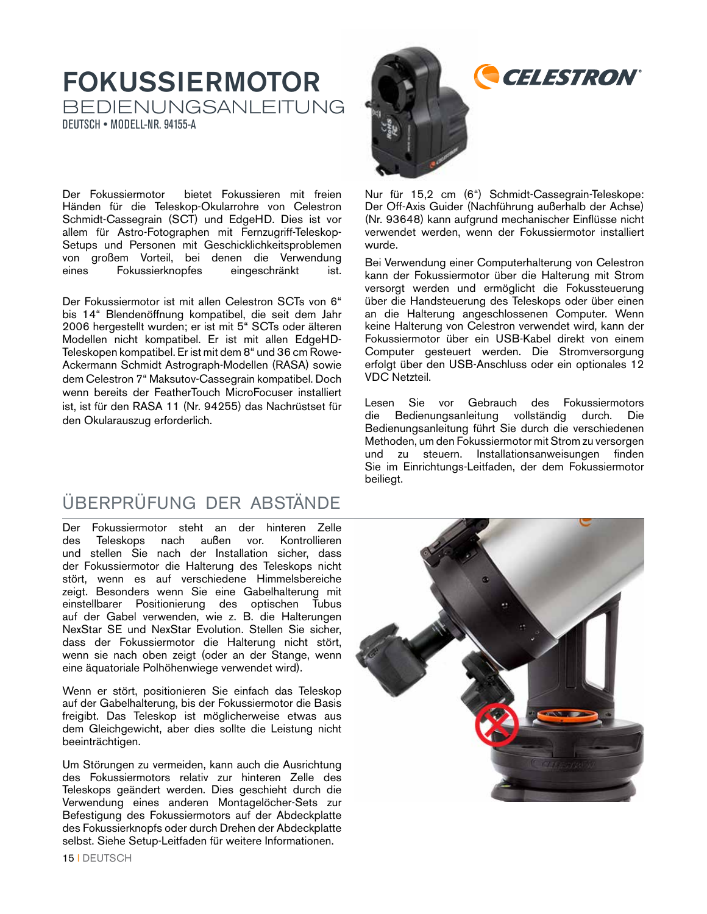#### FOKUSSIERMOTOR BEDIENUNGSANLEITUNG DEUTSCH • MODELL-NR. 94155-A

Der Fokussiermotor bietet Fokussieren mit freien Händen für die Teleskop-Okularrohre von Celestron Schmidt-Cassegrain (SCT) und EdgeHD. Dies ist vor allem für Astro-Fotographen mit Fernzugriff-Teleskop-Setups und Personen mit Geschicklichkeitsproblemen von großem Vorteil, bei denen die Verwendung eines Fokussierknopfes eingeschränkt ist.

Der Fokussiermotor ist mit allen Celestron SCTs von 6" bis 14" Blendenöffnung kompatibel, die seit dem Jahr 2006 hergestellt wurden; er ist mit 5" SCTs oder älteren Modellen nicht kompatibel. Er ist mit allen EdgeHD-Teleskopen kompatibel. Er ist mit dem 8" und 36 cm Rowe-Ackermann Schmidt Astrograph-Modellen (RASA) sowie dem Celestron 7" Maksutov-Cassegrain kompatibel. Doch wenn bereits der FeatherTouch MicroFocuser installiert ist, ist für den RASA 11 (Nr. 94255) das Nachrüstset für den Okularauszug erforderlich.

#### ÜBERPRÜFUNG DER ABSTÄNDE

Der Fokussiermotor steht an der hinteren Zelle des Teleskops nach außen vor. Kontrollieren und stellen Sie nach der Installation sicher, dass der Fokussiermotor die Halterung des Teleskops nicht stört, wenn es auf verschiedene Himmelsbereiche zeigt. Besonders wenn Sie eine Gabelhalterung mit einstellbarer Positionierung des optischen Tubus auf der Gabel verwenden, wie z. B. die Halterungen NexStar SE und NexStar Evolution. Stellen Sie sicher, dass der Fokussiermotor die Halterung nicht stört, wenn sie nach oben zeigt (oder an der Stange, wenn eine äquatoriale Polhöhenwiege verwendet wird).

Wenn er stört, positionieren Sie einfach das Teleskop auf der Gabelhalterung, bis der Fokussiermotor die Basis freigibt. Das Teleskop ist möglicherweise etwas aus dem Gleichgewicht, aber dies sollte die Leistung nicht beeinträchtigen.

Um Störungen zu vermeiden, kann auch die Ausrichtung des Fokussiermotors relativ zur hinteren Zelle des Teleskops geändert werden. Dies geschieht durch die Verwendung eines anderen Montagelöcher-Sets zur Befestigung des Fokussiermotors auf der Abdeckplatte des Fokussierknopfs oder durch Drehen der Abdeckplatte selbst. Siehe Setup-Leitfaden für weitere Informationen.



Nur für 15,2 cm (6") Schmidt-Cassegrain-Teleskope: Der Off-Axis Guider (Nachführung außerhalb der Achse) (Nr. 93648) kann aufgrund mechanischer Einflüsse nicht verwendet werden, wenn der Fokussiermotor installiert wurde.

Bei Verwendung einer Computerhalterung von Celestron kann der Fokussiermotor über die Halterung mit Strom versorgt werden und ermöglicht die Fokussteuerung über die Handsteuerung des Teleskops oder über einen an die Halterung angeschlossenen Computer. Wenn keine Halterung von Celestron verwendet wird, kann der Fokussiermotor über ein USB-Kabel direkt von einem Computer gesteuert werden. Die Stromversorgung erfolgt über den USB-Anschluss oder ein optionales 12 VDC Netzteil.

Lesen Sie vor Gebrauch des Fokussiermotors die Bedienungsanleitung vollständig durch. Die Bedienungsanleitung führt Sie durch die verschiedenen Methoden, um den Fokussiermotor mit Strom zu versorgen und zu steuern. Installationsanweisungen finden Sie im Einrichtungs-Leitfaden, der dem Fokussiermotor beiliegt.

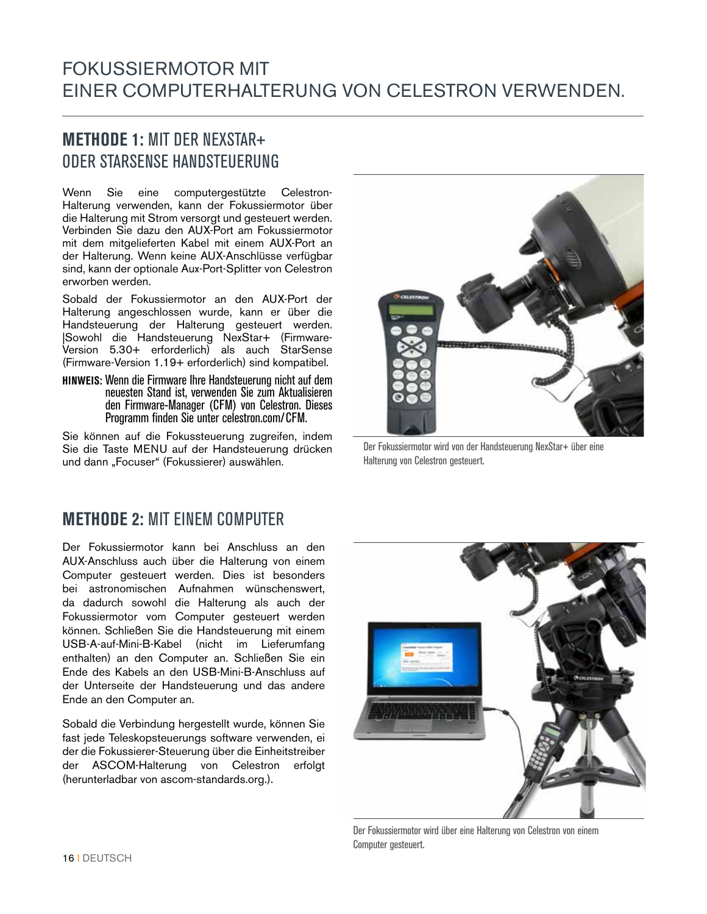#### FOKUSSIERMOTOR MIT EINER COMPUTERHALTERUNG VON CELESTRON VERWENDEN.

#### **METHODE 1:** MIT DER NEXSTAR+ ODER STARSENSE HANDSTEUERUNG

Wenn Sie eine computergestützte Celestron-Halterung verwenden, kann der Fokussiermotor über die Halterung mit Strom versorgt und gesteuert werden. Verbinden Sie dazu den AUX-Port am Fokussiermotor mit dem mitgelieferten Kabel mit einem AUX-Port an der Halterung. Wenn keine AUX-Anschlüsse verfügbar sind, kann der optionale Aux-Port-Splitter von Celestron erworben werden.

Sobald der Fokussiermotor an den AUX-Port der Halterung angeschlossen wurde, kann er über die Handsteuerung der Halterung gesteuert werden. |Sowohl die Handsteuerung NexStar+ (Firmware-Version 5.30+ erforderlich) als auch StarSense (Firmware-Version 1.19+ erforderlich) sind kompatibel.

**HINWEIS:** Wenn die Firmware Ihre Handsteuerung nicht auf dem neuesten Stand ist, verwenden Sie zum Aktualisieren den Firmware-Manager (CFM) von Celestron. Dieses Programm finden Sie unter celestron.com/CFM.

Sie können auf die Fokussteuerung zugreifen, indem Sie die Taste MENU auf der Handsteuerung drücken und dann "Focuser" (Fokussierer) auswählen.

**METHODE 2:** MIT EINEM COMPUTER

Der Fokussiermotor kann bei Anschluss an den AUX-Anschluss auch über die Halterung von einem Computer gesteuert werden. Dies ist besonders bei astronomischen Aufnahmen wünschenswert, da dadurch sowohl die Halterung als auch der Fokussiermotor vom Computer gesteuert werden können. Schließen Sie die Handsteuerung mit einem USB-A-auf-Mini-B-Kabel (nicht im Lieferumfang enthalten) an den Computer an. Schließen Sie ein Ende des Kabels an den USB-Mini-B-Anschluss auf der Unterseite der Handsteuerung und das andere Ende an den Computer an.

Sobald die Verbindung hergestellt wurde, können Sie fast jede Teleskopsteuerungs software verwenden, ei der die Fokussierer-Steuerung über die Einheitstreiber der ASCOM-Halterung von Celestron erfolgt (herunterladbar von ascom-standards.org.).



Der Fokussiermotor wird von der Handsteuerung NexStar+ über eine Halterung von Celestron gesteuert.



Der Fokussiermotor wird über eine Halterung von Celestron von einem Computer gesteuert.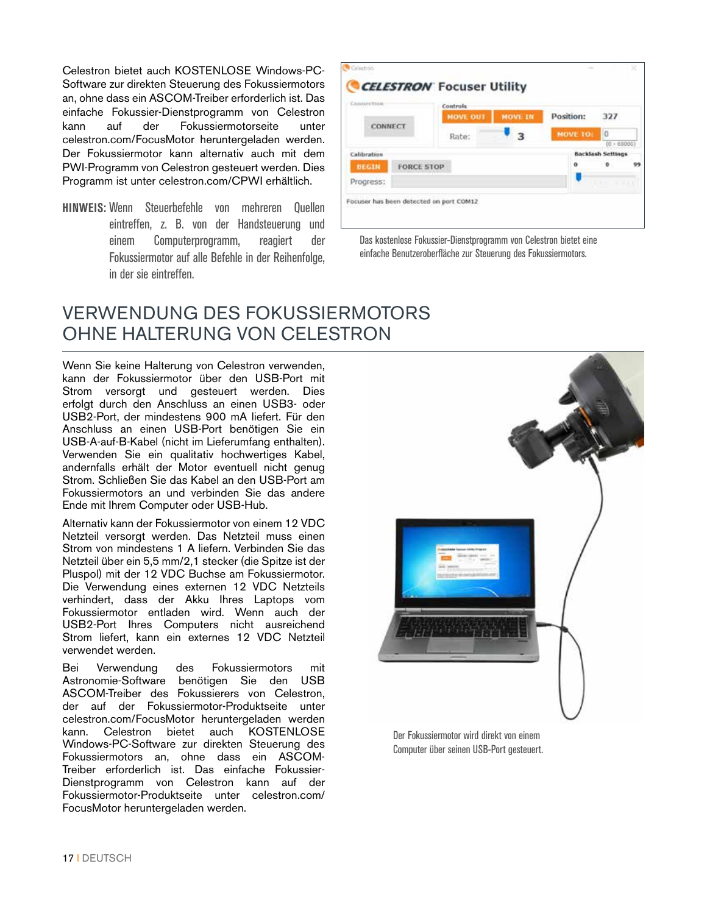Celestron bietet auch KOSTENLOSE Windows-PC-Software zur direkten Steuerung des Fokussiermotors an, ohne dass ein ASCOM-Treiber erforderlich ist. Das einfache Fokussier-Dienstprogramm von Celestron kann auf der Fokussiermotorseite unter celestron.com/FocusMotor heruntergeladen werden. Der Fokussiermotor kann alternativ auch mit dem PWI-Programm von Celestron gesteuert werden. Dies Programm ist unter celestron.com/CPWI erhältlich.

**HINWEIS:** Wenn Steuerbefehle von mehreren Quellen eintreffen, z. B. von der Handsteuerung und einem Computerprogramm, reagiert der Fokussiermotor auf alle Befehle in der Reihenfolge, in der sie eintreffen.

**CELESTRON** Focuser Utility Controls **MOVE IN** Position: 327 **MOVE OUT** CONNECT  $\overline{\mathbf{z}}$ **MOVE TO**  $|0|$ Rate:  $\overline{10}$ Cabbration **Backlash Settings** o  $\bullet$ **FORCE STOP** BEGIN Progress: Focuser has been detected on port COM12

Das kostenlose Fokussier-Dienstprogramm von Celestron bietet eine einfache Benutzeroberfläche zur Steuerung des Fokussiermotors.

#### VERWENDUNG DES FOKUSSIERMOTORS OHNE HALTERUNG VON CELESTRON

Wenn Sie keine Halterung von Celestron verwenden, kann der Fokussiermotor über den USB-Port mit Strom versorgt und gesteuert werden. Dies erfolgt durch den Anschluss an einen USB3- oder USB2-Port, der mindestens 900 mA liefert. Für den Anschluss an einen USB-Port benötigen Sie ein USB-A-auf-B-Kabel (nicht im Lieferumfang enthalten). Verwenden Sie ein qualitativ hochwertiges Kabel, andernfalls erhält der Motor eventuell nicht genug Strom. Schließen Sie das Kabel an den USB-Port am Fokussiermotors an und verbinden Sie das andere Ende mit Ihrem Computer oder USB-Hub.

Alternativ kann der Fokussiermotor von einem 12 VDC Netzteil versorgt werden. Das Netzteil muss einen Strom von mindestens 1 A liefern. Verbinden Sie das Netzteil über ein 5,5 mm/2,1 stecker (die Spitze ist der Pluspol) mit der 12 VDC Buchse am Fokussiermotor. Die Verwendung eines externen 12 VDC Netzteils verhindert, dass der Akku Ihres Laptops vom Fokussiermotor entladen wird. Wenn auch der USB2-Port Ihres Computers nicht ausreichend Strom liefert, kann ein externes 12 VDC Netzteil verwendet werden.

Bei Verwendung des Fokussiermotors mit Astronomie-Software benötigen Sie den USB ASCOM-Treiber des Fokussierers von Celestron, der auf der Fokussiermotor-Produktseite unter celestron.com/FocusMotor heruntergeladen werden kann. Celestron bietet auch KOSTENLOSE Windows-PC-Software zur direkten Steuerung des Fokussiermotors an, ohne dass ein ASCOM-Treiber erforderlich ist. Das einfache Fokussier-Dienstprogramm von Celestron kann auf der Fokussiermotor-Produktseite unter celestron.com/ FocusMotor heruntergeladen werden.



Der Fokussiermotor wird direkt von einem Computer über seinen USB-Port gesteuert.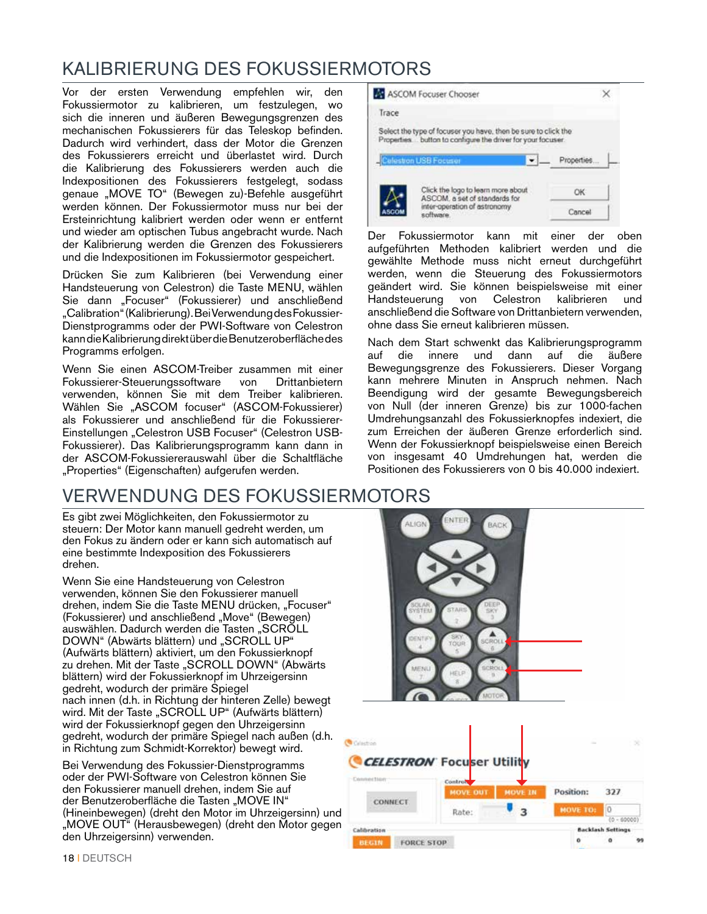#### KALIBRIERUNG DES FOKUSSIERMOTORS

Vor der ersten Verwendung empfehlen wir, den Fokussiermotor zu kalibrieren, um festzulegen, wo sich die inneren und äußeren Bewegungsgrenzen des mechanischen Fokussierers für das Teleskop befinden. Dadurch wird verhindert, dass der Motor die Grenzen des Fokussierers erreicht und überlastet wird. Durch die Kalibrierung des Fokussierers werden auch die Indexpositionen des Fokussierers festgelegt, sodass genaue "MOVE TO" (Bewegen zu)-Befehle ausgeführt werden können. Der Fokussiermotor muss nur bei der Ersteinrichtung kalibriert werden oder wenn er entfernt und wieder am optischen Tubus angebracht wurde. Nach der Kalibrierung werden die Grenzen des Fokussierers und die Indexpositionen im Fokussiermotor gespeichert.

Drücken Sie zum Kalibrieren (bei Verwendung einer Handsteuerung von Celestron) die Taste MENU, wählen Sie dann "Focuser" (Fokussierer) und anschließend "Calibration" (Kalibrierung). Bei Verwendung des Fokussier-Dienstprogramms oder der PWI-Software von Celestron kann die Kalibrierung direkt über die Benutzeroberfläche des Programms erfolgen.

Wenn Sie einen ASCOM-Treiber zusammen mit einer Fokussierer-Steuerungssoftware von Drittanbietern verwenden, können Sie mit dem Treiber kalibrieren. Wählen Sie "ASCOM focuser" (ASCOM-Fokussierer) als Fokussierer und anschließend für die Fokussierer-Einstellungen "Celestron USB Focuser" (Celestron USB-Fokussierer). Das Kalibrierungsprogramm kann dann in der ASCOM-Fokussiererauswahl über die Schaltfläche "Properties" (Eigenschaften) aufgerufen werden.

#### VERWENDUNG DES FOKUSSIERMOTORS

Es gibt zwei Möglichkeiten, den Fokussiermotor zu steuern: Der Motor kann manuell gedreht werden, um den Fokus zu ändern oder er kann sich automatisch auf eine bestimmte Indexposition des Fokussierers drehen.

Wenn Sie eine Handsteuerung von Celestron verwenden, können Sie den Fokussierer manuell drehen, indem Sie die Taste MENU drücken, "Focuser" (Fokussierer) und anschließend "Move" (Bewegen) auswählen. Dadurch werden die Tasten "SCROLL DOWN" (Abwärts blättern) und "SCROLL UP" (Aufwärts blättern) aktiviert, um den Fokussierknopf zu drehen. Mit der Taste "SCROLL DOWN" (Abwärts blättern) wird der Fokussierknopf im Uhrzeigersinn gedreht, wodurch der primäre Spiegel nach innen (d.h. in Richtung der hinteren Zelle) bewegt wird. Mit der Taste "SCROLL UP" (Aufwärts blättern) wird der Fokussierknopf gegen den Uhrzeigersinn gedreht, wodurch der primäre Spiegel nach außen (d.h. in Richtung zum Schmidt-Korrektor) bewegt wird.

Bei Verwendung des Fokussier-Dienstprogramms oder der PWI-Software von Celestron können Sie den Fokussierer manuell drehen, indem Sie auf der Benutzeroberfläche die Tasten "MOVE IN" (Hineinbewegen) (dreht den Motor im Uhrzeigersinn) und "MOVE OUT" (Herausbewegen) (dreht den Motor gegen den Uhrzeigersinn) verwenden.

| ASCOM Focuser Chooser                                                                                                         |             |
|-------------------------------------------------------------------------------------------------------------------------------|-------------|
| Trace                                                                                                                         |             |
| Select the type of focuser you have, then be sure to click the<br>Properties button to configure the driver for your focuser. |             |
| Celestron USB Focuser                                                                                                         | Properties. |
| Click the logo to learn more about<br>ASCOM, a set of standards for                                                           | ОК          |
| inter-operation of astronomy                                                                                                  | Cancel      |

Der Fokussiermotor kann mit einer der oben aufgeführten Methoden kalibriert werden und die gewählte Methode muss nicht erneut durchgeführt werden, wenn die Steuerung des Fokussiermotors geändert wird. Sie können beispielsweise mit einer<br>Handsteuerung von Celestron kalibrieren und Handsteuerung von Celestron kalibrieren und anschließend die Software von Drittanbietern verwenden, ohne dass Sie erneut kalibrieren müssen.

Nach dem Start schwenkt das Kalibrierungsprogramm auf die innere und dann auf die äußere Bewegungsgrenze des Fokussierers. Dieser Vorgang kann mehrere Minuten in Anspruch nehmen. Nach Beendigung wird der gesamte Bewegungsbereich von Null (der inneren Grenze) bis zur 1000-fachen Umdrehungsanzahl des Fokussierknopfes indexiert, die zum Erreichen der äußeren Grenze erforderlich sind. Wenn der Fokussierknopf beispielsweise einen Bereich von insgesamt 40 Umdrehungen hat, werden die Positionen des Fokussierers von 0 bis 40.000 indexiert.

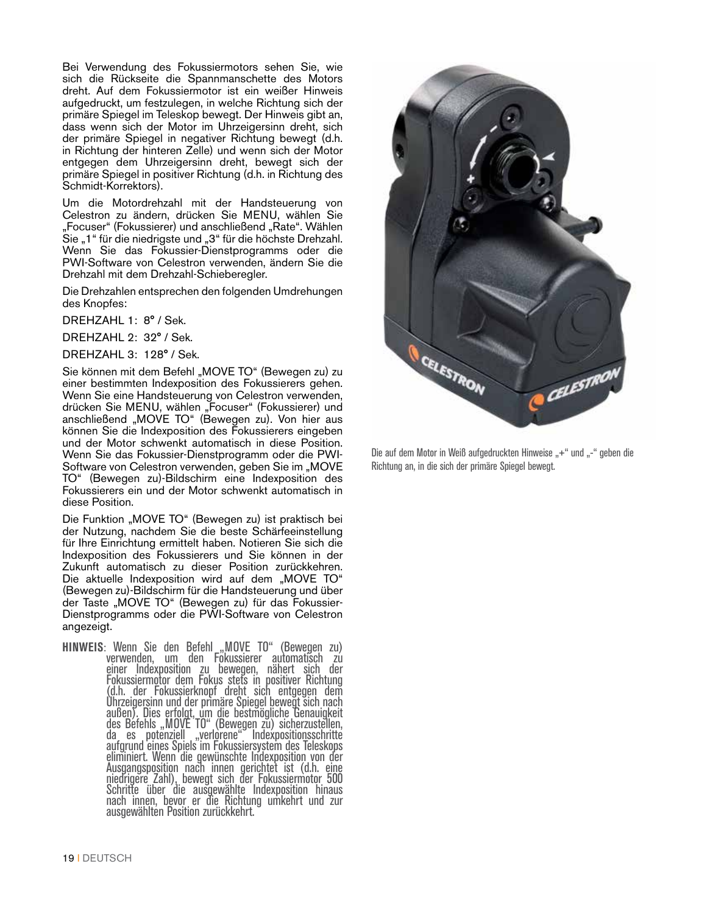Bei Verwendung des Fokussiermotors sehen Sie, wie sich die Rückseite die Spannmanschette des Motors dreht. Auf dem Fokussiermotor ist ein weißer Hinweis aufgedruckt, um festzulegen, in welche Richtung sich der primäre Spiegel im Teleskop bewegt. Der Hinweis gibt an, dass wenn sich der Motor im Uhrzeigersinn dreht, sich der primäre Spiegel in negativer Richtung bewegt (d.h. in Richtung der hinteren Zelle) und wenn sich der Motor entgegen dem Uhrzeigersinn dreht, bewegt sich der primäre Spiegel in positiver Richtung (d.h. in Richtung des Schmidt-Korrektors).

Um die Motordrehzahl mit der Handsteuerung von Celestron zu ändern, drücken Sie MENU, wählen Sie "Focuser" (Fokussierer) und anschließend "Rate". Wählen Sie "1" für die niedrigste und "3" für die höchste Drehzahl. Wenn Sie das Fokussier-Dienstprogramms oder die PWI-Software von Celestron verwenden, ändern Sie die Drehzahl mit dem Drehzahl-Schieberegler.

Die Drehzahlen entsprechen den folgenden Umdrehungen des Knopfes:

DREHZAHL 1: 8° / Sek.

DREHZAHL 2: 32° / Sek.

DREHZAHL 3: 128° / Sek.

Sie können mit dem Befehl "MOVE TO" (Bewegen zu) zu einer bestimmten Indexposition des Fokussierers gehen. Wenn Sie eine Handsteuerung von Celestron verwenden, drücken Sie MENU, wählen "Focuser" (Fokussierer) und anschließend "MOVE TO" (Bewegen zu). Von hier aus können Sie die Indexposition des Fokussierers eingeben und der Motor schwenkt automatisch in diese Position. Wenn Sie das Fokussier-Dienstprogramm oder die PWI-Software von Celestron verwenden, geben Sie im "MOVE TO" (Bewegen zu)-Bildschirm eine Indexposition des Fokussierers ein und der Motor schwenkt automatisch in diese Position.

Die Funktion "MOVE TO" (Bewegen zu) ist praktisch bei der Nutzung, nachdem Sie die beste Schärfeeinstellung für Ihre Einrichtung ermittelt haben. Notieren Sie sich die Indexposition des Fokussierers und Sie können in der Zukunft automatisch zu dieser Position zurückkehren. Die aktuelle Indexposition wird auf dem "MOVE TO" (Bewegen zu)-Bildschirm für die Handsteuerung und über der Taste "MOVE TO" (Bewegen zu) für das Fokussier-Dienstprogramms oder die PWI-Software von Celestron angezeigt.

**HINWEIS**: Wenn Sie den Befehl\_"MOVE TO" (Bewegen zu) verwenden, um den Fokussierer automatisch zu einer Indexposition zu bewegen, nähert sich der Fokussiermotor dem Fokus stets in positiver Richtung (d.h. der Fokussierknopf dreht sich entgegen dem Uhrzeigersinn und der primäre Spiegel bewegt sich nach außen). Dies erfolgt, um die bestmögliche Genauigkeit des Befehls "MOVE TO" (Bewegen zu) sicherzustellen, da es potenziell "verlorene" Indexpositionsschritte aufgrund eines Spiels im Fokussiersystem des Teleskops eliminiert. Wenn die gewünschte Indexposition von der Ausgangsposition nach innen gerichtet ist (d.h. eine niedrigere Zahl), bewegt sich der Fokussiermotor 500 Schritte über die ausgewählte Indexposition hinaus nach innen, bevor er die Richtung umkehrt und zur ausgewählten Position zurückkehrt.



Die auf dem Motor in Weiß aufgedruckten Hinweise "+" und "-" geben die Richtung an, in die sich der primäre Spiegel bewegt.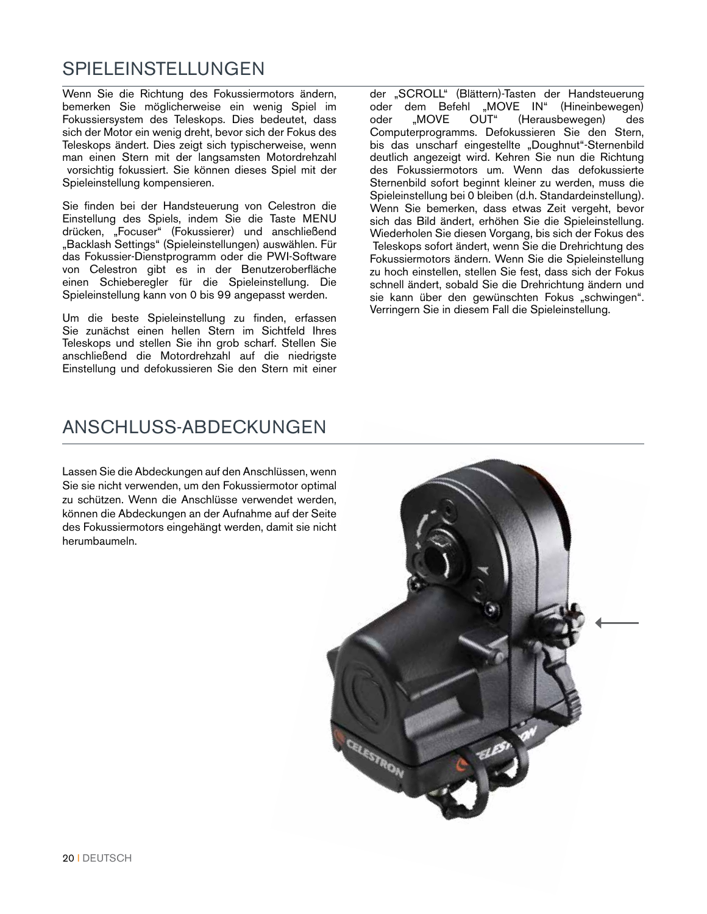#### SPIELEINSTELLUNGEN

Wenn Sie die Richtung des Fokussiermotors ändern, bemerken Sie möglicherweise ein wenig Spiel im Fokussiersystem des Teleskops. Dies bedeutet, dass sich der Motor ein wenig dreht, bevor sich der Fokus des Teleskops ändert. Dies zeigt sich typischerweise, wenn man einen Stern mit der langsamsten Motordrehzahl vorsichtig fokussiert. Sie können dieses Spiel mit der Spieleinstellung kompensieren.

Sie finden bei der Handsteuerung von Celestron die Einstellung des Spiels, indem Sie die Taste MENU drücken, "Focuser" (Fokussierer) und anschließend "Backlash Settings" (Spieleinstellungen) auswählen. Für das Fokussier-Dienstprogramm oder die PWI-Software von Celestron gibt es in der Benutzeroberfläche einen Schieberegler für die Spieleinstellung. Die Spieleinstellung kann von 0 bis 99 angepasst werden.

Um die beste Spieleinstellung zu finden, erfassen Sie zunächst einen hellen Stern im Sichtfeld Ihres Teleskops und stellen Sie ihn grob scharf. Stellen Sie anschließend die Motordrehzahl auf die niedrigste Einstellung und defokussieren Sie den Stern mit einer der "SCROLL" (Blättern)-Tasten der Handsteuerung oder dem Befehl "MOVE IN" (Hineinbewegen) oder "MOVE OUT" (Herausbewegen) des Computerprogramms. Defokussieren Sie den Stern, bis das unscharf eingestellte "Doughnut"-Sternenbild deutlich angezeigt wird. Kehren Sie nun die Richtung des Fokussiermotors um. Wenn das defokussierte Sternenbild sofort beginnt kleiner zu werden, muss die Spieleinstellung bei 0 bleiben (d.h. Standardeinstellung). Wenn Sie bemerken, dass etwas Zeit vergeht, bevor sich das Bild ändert, erhöhen Sie die Spieleinstellung. Wiederholen Sie diesen Vorgang, bis sich der Fokus des Teleskops sofort ändert, wenn Sie die Drehrichtung des Fokussiermotors ändern. Wenn Sie die Spieleinstellung zu hoch einstellen, stellen Sie fest, dass sich der Fokus schnell ändert, sobald Sie die Drehrichtung ändern und sie kann über den gewünschten Fokus "schwingen". Verringern Sie in diesem Fall die Spieleinstellung.

#### ANSCHLUSS-ABDECKUNGEN

Lassen Sie die Abdeckungen auf den Anschlüssen, wenn Sie sie nicht verwenden, um den Fokussiermotor optimal zu schützen. Wenn die Anschlüsse verwendet werden, können die Abdeckungen an der Aufnahme auf der Seite des Fokussiermotors eingehängt werden, damit sie nicht herumbaumeln.

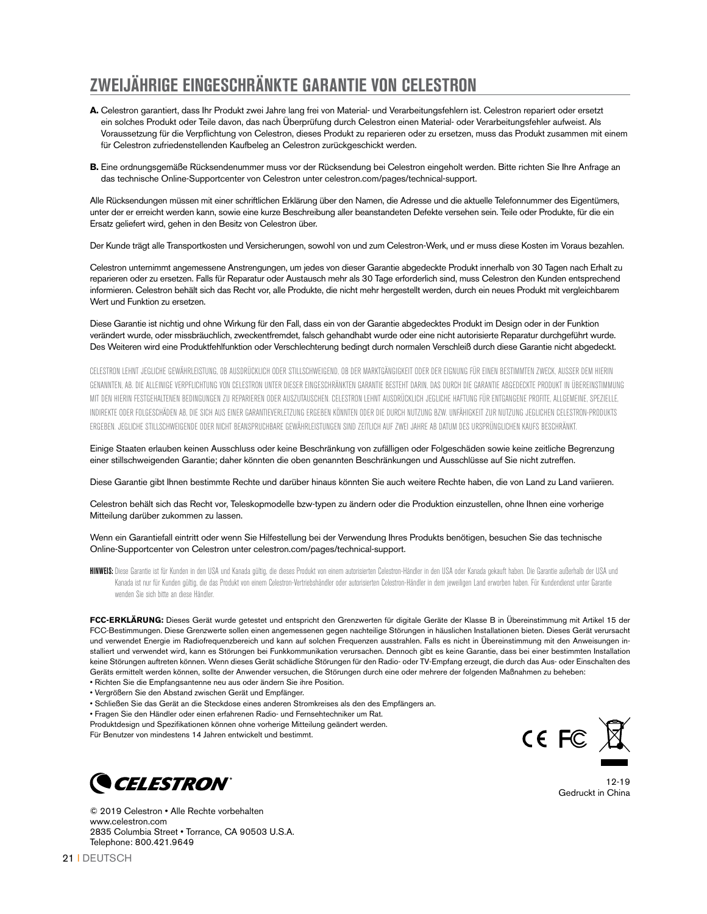#### **ZWEIJÄHRIGE EINGESCHRÄNKTE GARANTIE VON CELESTRON**

- **A.** Celestron garantiert, dass Ihr Produkt zwei Jahre lang frei von Material- und Verarbeitungsfehlern ist. Celestron repariert oder ersetzt ein solches Produkt oder Teile davon, das nach Überprüfung durch Celestron einen Material- oder Verarbeitungsfehler aufweist. Als Voraussetzung für die Verpflichtung von Celestron, dieses Produkt zu reparieren oder zu ersetzen, muss das Produkt zusammen mit einem für Celestron zufriedenstellenden Kaufbeleg an Celestron zurückgeschickt werden.
- **B.** Eine ordnungsgemäße Rücksendenummer muss vor der Rücksendung bei Celestron eingeholt werden. Bitte richten Sie Ihre Anfrage an das technische Online-Supportcenter von Celestron unter celestron.com/pages/technical-support.

Alle Rücksendungen müssen mit einer schriftlichen Erklärung über den Namen, die Adresse und die aktuelle Telefonnummer des Eigentümers, unter der er erreicht werden kann, sowie eine kurze Beschreibung aller beanstandeten Defekte versehen sein. Teile oder Produkte, für die ein Ersatz geliefert wird, gehen in den Besitz von Celestron über.

Der Kunde trägt alle Transportkosten und Versicherungen, sowohl von und zum Celestron-Werk, und er muss diese Kosten im Voraus bezahlen.

Celestron unternimmt angemessene Anstrengungen, um jedes von dieser Garantie abgedeckte Produkt innerhalb von 30 Tagen nach Erhalt zu reparieren oder zu ersetzen. Falls für Reparatur oder Austausch mehr als 30 Tage erforderlich sind, muss Celestron den Kunden entsprechend informieren. Celestron behält sich das Recht vor, alle Produkte, die nicht mehr hergestellt werden, durch ein neues Produkt mit vergleichbarem Wert und Funktion zu ersetzen.

Diese Garantie ist nichtig und ohne Wirkung für den Fall, dass ein von der Garantie abgedecktes Produkt im Design oder in der Funktion verändert wurde, oder missbräuchlich, zweckentfremdet, falsch gehandhabt wurde oder eine nicht autorisierte Reparatur durchgeführt wurde. Des Weiteren wird eine Produktfehlfunktion oder Verschlechterung bedingt durch normalen Verschleiß durch diese Garantie nicht abgedeckt.

CELESTRON LEHNT JEGLICHE GEWÄHRLEISTUNG, OB AUSDRÜCKLICH ODER STILLSCHWEIGEND, OB DER MARKTGÄNGIGKEIT ODER DER EIGNUNG FÜR EINEN BESTIMMTEN ZWECK, AUSSER DEM HIERIN GENANNTEN, AB. DIE ALLEINIGE VERPFLICHTUNG VON CELESTRON UNTER DIESER EINGESCHRÄNKTEN GARANTIE BESTEHT DARIN, DAS DURCH DIE GARANTIE ABGEDECKTE PRODUKT IN ÜBEREINSTIMMUNG MIT DEN HIERIN FESTGEHALTENEN BEDINGUNGEN ZU REPARIEREN ODER AUSZUTAUSCHEN. CELESTRON LEHNT AUSDRÜCKLICH JEGLICHE HAFTUNG FÜR ENTGANGENE PROFITE, ALLGEMEINE, SPEZIELLE, INDIREKTE ODER FOLGESCHÄDEN AB, DIE SICH AUS EINER GARANTIEVERLETZUNG ERGEBEN KÖNNTEN ODER DIE DURCH NUTZUNG BZW. UNFÄHIGKEIT ZUR NUTZUNG JEGLICHEN CELESTRON-PRODUKTS ERGEBEN. JEGLICHE STILLSCHWEIGENDE ODER NICHT BEANSPRUCHBARE GEWÄHRLEISTUNGEN SIND ZEITLICH AUF ZWEI JAHRE AB DATUM DES URSPRÜNGLICHEN KAUFS BESCHRÄNKT.

Einige Staaten erlauben keinen Ausschluss oder keine Beschränkung von zufälligen oder Folgeschäden sowie keine zeitliche Begrenzung einer stillschweigenden Garantie; daher könnten die oben genannten Beschränkungen und Ausschlüsse auf Sie nicht zutreffen.

Diese Garantie gibt Ihnen bestimmte Rechte und darüber hinaus könnten Sie auch weitere Rechte haben, die von Land zu Land variieren.

Celestron behält sich das Recht vor, Teleskopmodelle bzw-typen zu ändern oder die Produktion einzustellen, ohne Ihnen eine vorherige Mitteilung darüber zukommen zu lassen.

Wenn ein Garantiefall eintritt oder wenn Sie Hilfestellung bei der Verwendung Ihres Produkts benötigen, besuchen Sie das technische Online-Supportcenter von Celestron unter celestron.com/pages/technical-support.

HINWEIS: Diese Garantie ist für Kunden in den USA und Kanada gültig, die dieses Produkt von einem autorisierten Celestron-Händler in den USA oder Kanada gekauft haben. Die Garantie außerhalb der USA und Kanada ist nur für Kunden gültig, die das Produkt von einem Celestron-Vertriebshändler oder autorisierten Celestron-Händler in dem jeweiligen Land erworben haben. Für Kundendienst unter Garantie wenden Sie sich bitte an diese Händler.

**FCC-ERKLÄRUNG:** Dieses Gerät wurde getestet und entspricht den Grenzwerten für digitale Geräte der Klasse B in Übereinstimmung mit Artikel 15 der FCC-Bestimmungen. Diese Grenzwerte sollen einen angemessenen gegen nachteilige Störungen in häuslichen Installationen bieten. Dieses Gerät verursacht und verwendet Energie im Radiofrequenzbereich und kann auf solchen Frequenzen ausstrahlen. Falls es nicht in Übereinstimmung mit den Anweisungen installiert und verwendet wird, kann es Störungen bei Funkkommunikation verursachen. Dennoch gibt es keine Garantie, dass bei einer bestimmten Installation keine Störungen auftreten können. Wenn dieses Gerät schädliche Störungen für den Radio- oder TV-Empfang erzeugt, die durch das Aus- oder Einschalten des Geräts ermittelt werden können, sollte der Anwender versuchen, die Störungen durch eine oder mehrere der folgenden Maßnahmen zu beheben:

- Richten Sie die Empfangsantenne neu aus oder ändern Sie ihre Position.
- Vergrößern Sie den Abstand zwischen Gerät und Empfänger.
- Schließen Sie das Gerät an die Steckdose eines anderen Stromkreises als den des Empfängers an.
- Fragen Sie den Händler oder einen erfahrenen Radio- und Fernsehtechniker um Rat.
- Produktdesign und Spezifikationen können ohne vorherige Mitteilung geändert werden.

Für Benutzer von mindestens 14 Jahren entwickelt und bestimmt.





**CELESTRON** © 2019 Celestron • Alle Rechte vorbehalten

www.celestron.com 2835 Columbia Street • Torrance, CA 90503 U.S.A. Telephone: 800.421.9649

21 | DEUTSCH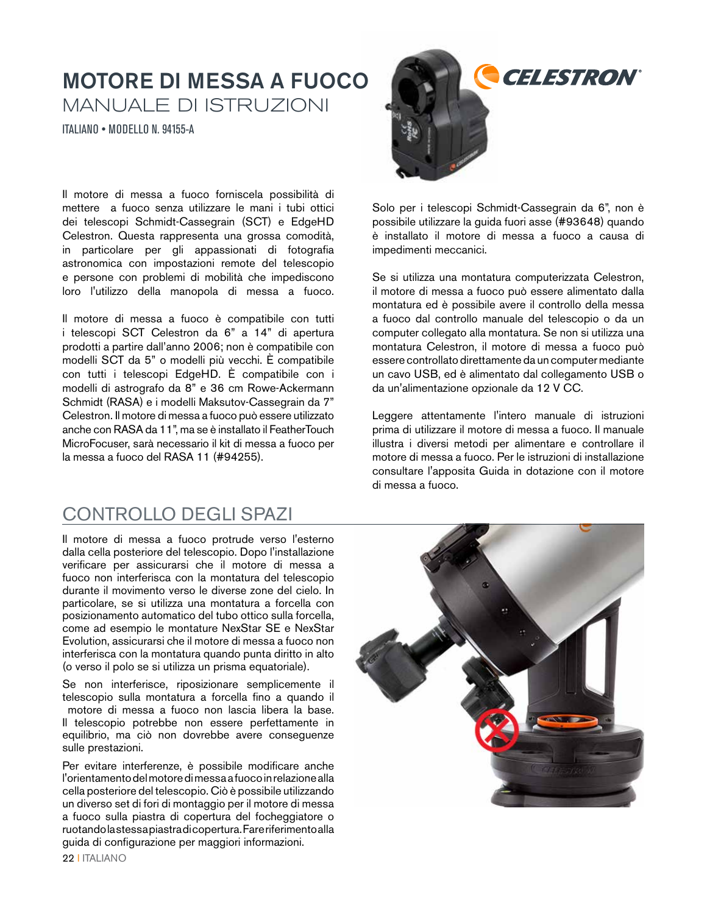#### MOTORE DI MESSA A FUOCO MANUALE DI ISTRUZIONI

ITALIANO • MODELLO N. 94155-A

Il motore di messa a fuoco forniscela possibilità di mettere a fuoco senza utilizzare le mani i tubi ottici dei telescopi Schmidt-Cassegrain (SCT) e EdgeHD Celestron. Questa rappresenta una grossa comodità, in particolare per gli appassionati di fotografia astronomica con impostazioni remote del telescopio e persone con problemi di mobilità che impediscono loro l'utilizzo della manopola di messa a fuoco.

Il motore di messa a fuoco è compatibile con tutti i telescopi SCT Celestron da 6" a 14" di apertura prodotti a partire dall'anno 2006; non è compatibile con modelli SCT da 5" o modelli più vecchi. È compatibile con tutti i telescopi EdgeHD. È compatibile con i modelli di astrografo da 8" e 36 cm Rowe-Ackermann Schmidt (RASA) e i modelli Maksutov-Cassegrain da 7" Celestron. Il motore di messa a fuoco può essere utilizzato anche con RASA da 11", ma se è installato il FeatherTouch MicroFocuser, sarà necessario il kit di messa a fuoco per la messa a fuoco del RASA 11 (#94255).

#### CONTROLLO DEGLI SPAZI

Il motore di messa a fuoco protrude verso l'esterno dalla cella posteriore del telescopio. Dopo l'installazione verificare per assicurarsi che il motore di messa a fuoco non interferisca con la montatura del telescopio durante il movimento verso le diverse zone del cielo. In particolare, se si utilizza una montatura a forcella con posizionamento automatico del tubo ottico sulla forcella, come ad esempio le montature NexStar SE e NexStar Evolution, assicurarsi che il motore di messa a fuoco non interferisca con la montatura quando punta diritto in alto (o verso il polo se si utilizza un prisma equatoriale).

Se non interferisce, riposizionare semplicemente il telescopio sulla montatura a forcella fino a quando il motore di messa a fuoco non lascia libera la base. Il telescopio potrebbe non essere perfettamente in equilibrio, ma ciò non dovrebbe avere conseguenze sulle prestazioni.

Per evitare interferenze, è possibile modificare anche l'orientamento del motore di messa a fuoco in relazione alla cella posteriore del telescopio. Ciò è possibile utilizzando un diverso set di fori di montaggio per il motore di messa a fuoco sulla piastra di copertura del focheggiatore o ruotando la stessa piastra di copertura. Fare riferimento alla guida di configurazione per maggiori informazioni.



Solo per i telescopi Schmidt-Cassegrain da 6", non è possibile utilizzare la guida fuori asse (#93648) quando è installato il motore di messa a fuoco a causa di impedimenti meccanici.

Se si utilizza una montatura computerizzata Celestron, il motore di messa a fuoco può essere alimentato dalla montatura ed è possibile avere il controllo della messa a fuoco dal controllo manuale del telescopio o da un computer collegato alla montatura. Se non si utilizza una montatura Celestron, il motore di messa a fuoco può essere controllato direttamente da un computer mediante un cavo USB, ed è alimentato dal collegamento USB o da un'alimentazione opzionale da 12 V CC.

Leggere attentamente l'intero manuale di istruzioni prima di utilizzare il motore di messa a fuoco. Il manuale illustra i diversi metodi per alimentare e controllare il motore di messa a fuoco. Per le istruzioni di installazione consultare l'apposita Guida in dotazione con il motore di messa a fuoco.



22 I ITALIANO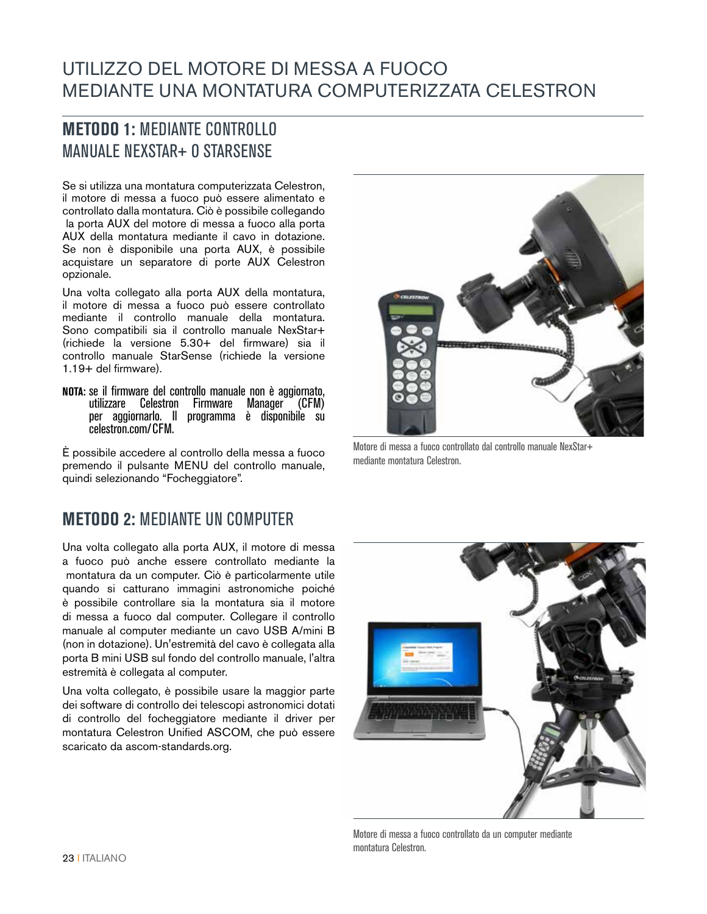#### UTILIZZO DEL MOTORE DI MESSA A FUOCO MEDIANTE UNA MONTATURA COMPUTERIZZATA CELESTRON

#### **METODO 1:** MEDIANTE CONTROLLO MANUALE NEXSTAR+ O STARSENSE

Se si utilizza una montatura computerizzata Celestron, il motore di messa a fuoco può essere alimentato e controllato dalla montatura. Ciò è possibile collegando la porta AUX del motore di messa a fuoco alla porta AUX della montatura mediante il cavo in dotazione. Se non è disponibile una porta AUX, è possibile acquistare un separatore di porte AUX Celestron opzionale.

Una volta collegato alla porta AUX della montatura, il motore di messa a fuoco può essere controllato mediante il controllo manuale della montatura. Sono compatibili sia il controllo manuale NexStar+ (richiede la versione 5.30+ del firmware) sia il controllo manuale StarSense (richiede la versione 1.19+ del firmware).

**NOTA:** se il firmware del controllo manuale non è aggiornato, utilizzare Celestron Firmware Manager (CFM) per aggiornarlo. Il programma è disponibile su celestron.com/CFM.

È possibile accedere al controllo della messa a fuoco premendo il pulsante MENU del controllo manuale, quindi selezionando "Focheggiatore".

#### **METODO 2:** MEDIANTE UN COMPUTER

Una volta collegato alla porta AUX, il motore di messa a fuoco può anche essere controllato mediante la montatura da un computer. Ciò è particolarmente utile quando si catturano immagini astronomiche poiché è possibile controllare sia la montatura sia il motore di messa a fuoco dal computer. Collegare il controllo manuale al computer mediante un cavo USB A/mini B (non in dotazione). Un'estremità del cavo è collegata alla porta B mini USB sul fondo del controllo manuale, l'altra estremità è collegata al computer.

Una volta collegato, è possibile usare la maggior parte dei software di controllo dei telescopi astronomici dotati di controllo del focheggiatore mediante il driver per montatura Celestron Unified ASCOM, che può essere scaricato da ascom-standards.org.



Motore di messa a fuoco controllato dal controllo manuale NexStar+ mediante montatura Celestron.



Motore di messa a fuoco controllato da un computer mediante montatura Celestron.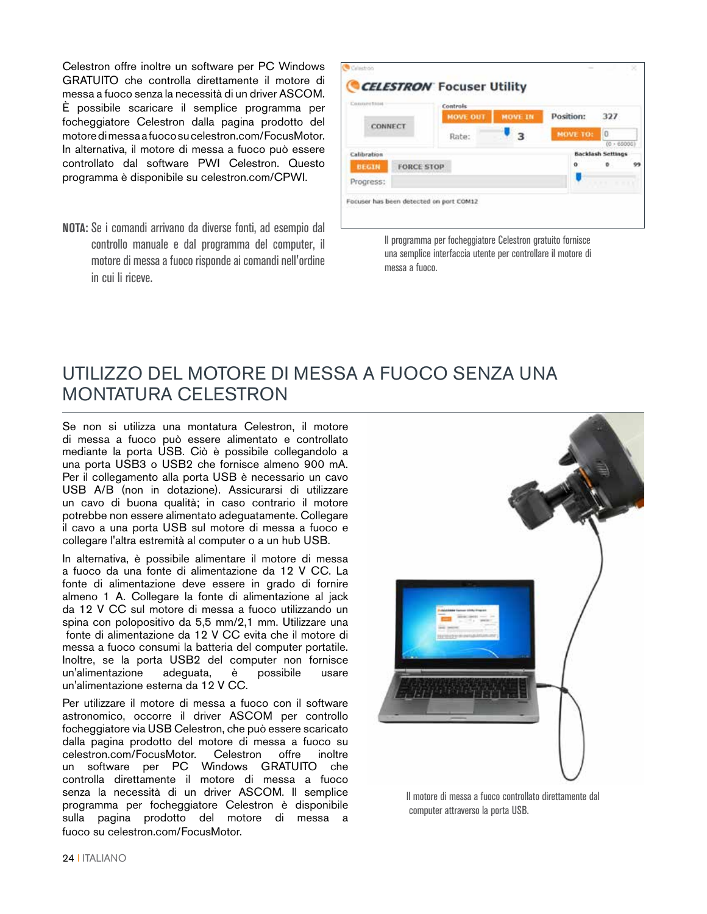Celestron offre inoltre un software per PC Windows GRATUITO che controlla direttamente il motore di messa a fuoco senza la necessità di un driver ASCOM. È possibile scaricare il semplice programma per focheggiatore Celestron dalla pagina prodotto del motore di messa a fuoco su celestron.com/FocusMotor. In alternativa, il motore di messa a fuoco può essere controllato dal software PWI Celestron. Questo programma è disponibile su celestron.com/CPWI.

**NOTA:** Se i comandi arrivano da diverse fonti, ad esempio dal controllo manuale e dal programma del computer, il motore di messa a fuoco risponde ai comandi nell'ordine in cui li riceve.

| Connection   |                   | Controls        |                |                 |                                       |  |
|--------------|-------------------|-----------------|----------------|-----------------|---------------------------------------|--|
|              |                   | <b>MOVE OUT</b> | <b>MOVE IN</b> | Position:       | 327                                   |  |
| CONNECT      |                   | Rate:           | з              | <b>MOVE TO:</b> | 0                                     |  |
| Calibration  |                   |                 |                |                 | (0.60000)<br><b>Backlash Settings</b> |  |
| <b>BEGIN</b> | <b>FORCE STOP</b> |                 |                | ۰               | $\circ$                               |  |
| Progress:    |                   |                 |                |                 | <b>FT REE</b>                         |  |

Il programma per focheggiatore Celestron gratuito fornisce una semplice interfaccia utente per controllare il motore di messa a fuoco.

#### UTILIZZO DEL MOTORE DI MESSA A FUOCO SENZA UNA MONTATURA CELESTRON

Se non si utilizza una montatura Celestron, il motore di messa a fuoco può essere alimentato e controllato mediante la porta USB. Ciò è possibile collegandolo a una porta USB3 o USB2 che fornisce almeno 900 mA. Per il collegamento alla porta USB è necessario un cavo USB A/B (non in dotazione). Assicurarsi di utilizzare un cavo di buona qualità; in caso contrario il motore potrebbe non essere alimentato adeguatamente. Collegare il cavo a una porta USB sul motore di messa a fuoco e collegare l'altra estremità al computer o a un hub USB.

In alternativa, è possibile alimentare il motore di messa a fuoco da una fonte di alimentazione da 12 V CC. La fonte di alimentazione deve essere in grado di fornire almeno 1 A. Collegare la fonte di alimentazione al jack da 12 V CC sul motore di messa a fuoco utilizzando un spina con polopositivo da 5,5 mm/2,1 mm. Utilizzare una fonte di alimentazione da 12 V CC evita che il motore di messa a fuoco consumi la batteria del computer portatile. Inoltre, se la porta USB2 del computer non fornisce un'alimentazione adeguata, è possibile usare un'alimentazione esterna da 12 V CC.

Per utilizzare il motore di messa a fuoco con il software astronomico, occorre il driver ASCOM per controllo focheggiatore via USB Celestron, che può essere scaricato dalla pagina prodotto del motore di messa a fuoco su celestron.com/FocusMotor. Celestron offre inoltre un software per PC Windows GRATUITO che controlla direttamente il motore di messa a fuoco senza la necessità di un driver ASCOM. Il semplice programma per focheggiatore Celestron è disponibile sulla pagina prodotto del motore di messa a fuoco su celestron.com/FocusMotor.



Il motore di messa a fuoco controllato direttamente dal computer attraverso la porta USB.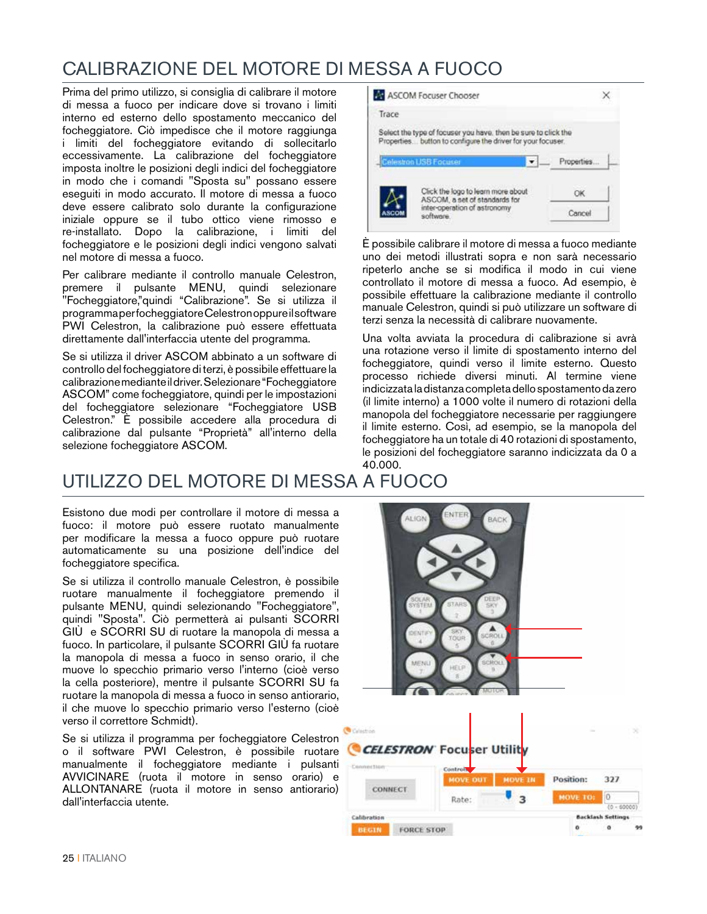#### CALIBRAZIONE DEL MOTORE DI MESSA A FUOCO

Prima del primo utilizzo, si consiglia di calibrare il motore di messa a fuoco per indicare dove si trovano i limiti interno ed esterno dello spostamento meccanico del focheggiatore. Ciò impedisce che il motore raggiunga i limiti del focheggiatore evitando di sollecitarlo eccessivamente. La calibrazione del focheggiatore imposta inoltre le posizioni degli indici del focheggiatore in modo che i comandi "Sposta su" possano essere eseguiti in modo accurato. Il motore di messa a fuoco deve essere calibrato solo durante la configurazione iniziale oppure se il tubo ottico viene rimosso e re-installato. Dopo la calibrazione, i limiti del focheggiatore e le posizioni degli indici vengono salvati nel motore di messa a fuoco.

Per calibrare mediante il controllo manuale Celestron, premere il pulsante MENU, quindi selezionare "Focheggiatore,"quindi "Calibrazione". Se si utilizza il programma per focheggiatore Celestron oppure il software PWI Celestron, la calibrazione può essere effettuata direttamente dall'interfaccia utente del programma.

Se si utilizza il driver ASCOM abbinato a un software di controllo del focheggiatore di terzi, è possibile effettuare la calibrazione mediante il driver. Selezionare "Focheggiatore ASCOM" come focheggiatore, quindi per le impostazioni del focheggiatore selezionare "Focheggiatore USB Celestron." È possibile accedere alla procedura di calibrazione dal pulsante "Proprietà" all'interno della selezione focheggiatore ASCOM.

| ASCOM Focuser Chooser                                                                                                         |            |
|-------------------------------------------------------------------------------------------------------------------------------|------------|
| Trace                                                                                                                         |            |
| Select the type of focuser you have, then be sure to click the<br>Properties button to configure the driver for your focuser. |            |
| Celestron USB Focuser                                                                                                         | Properties |
| Click the logo to learn more about<br>ASCOM, a set of standards for                                                           |            |
| inter-operation of astronomy<br>software                                                                                      | Canco      |

È possibile calibrare il motore di messa a fuoco mediante uno dei metodi illustrati sopra e non sarà necessario ripeterlo anche se si modifica il modo in cui viene controllato il motore di messa a fuoco. Ad esempio, è possibile effettuare la calibrazione mediante il controllo manuale Celestron, quindi si può utilizzare un software di terzi senza la necessità di calibrare nuovamente.

Una volta avviata la procedura di calibrazione si avrà una rotazione verso il limite di spostamento interno del focheggiatore, quindi verso il limite esterno. Questo processo richiede diversi minuti. Al termine viene indicizzata la distanza completa dello spostamento da zero (il limite interno) a 1000 volte il numero di rotazioni della manopola del focheggiatore necessarie per raggiungere il limite esterno. Così, ad esempio, se la manopola del focheggiatore ha un totale di 40 rotazioni di spostamento, le posizioni del focheggiatore saranno indicizzata da 0 a 40.000.

## UTILIZZO DEL MOTORE DI MESSA A FUOCO

Esistono due modi per controllare il motore di messa a fuoco: il motore può essere ruotato manualmente per modificare la messa a fuoco oppure può ruotare automaticamente su una posizione dell'indice del focheggiatore specifica.

Se si utilizza il controllo manuale Celestron, è possibile ruotare manualmente il focheggiatore premendo il pulsante MENU, quindi selezionando "Focheggiatore", quindi "Sposta". Ciò permetterà ai pulsanti SCORRI GIÙ e SCORRI SU di ruotare la manopola di messa a fuoco. In particolare, il pulsante SCORRI GIÙ fa ruotare la manopola di messa a fuoco in senso orario, il che muove lo specchio primario verso l'interno (cioè verso la cella posteriore), mentre il pulsante SCORRI SU fa ruotare la manopola di messa a fuoco in senso antiorario, il che muove lo specchio primario verso l'esterno (cioè verso il correttore Schmidt).

Se si utilizza il programma per focheggiatore Celestron o il software PWI Celestron, è possibile ruotare manualmente il focheggiatore mediante i pulsanti AVVICINARE (ruota il motore in senso orario) e ALLONTANARE (ruota il motore in senso antiorario) dall'interfaccia utente.

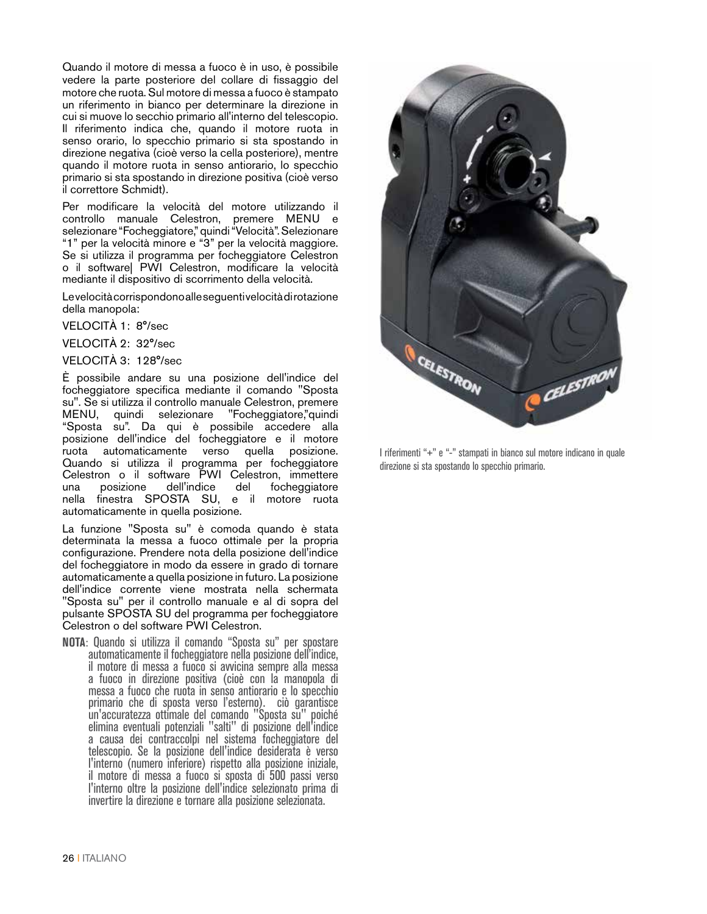Quando il motore di messa a fuoco è in uso, è possibile vedere la parte posteriore del collare di fissaggio del motore che ruota. Sul motore di messa a fuoco è stampato un riferimento in bianco per determinare la direzione in cui si muove lo secchio primario all'interno del telescopio. Il riferimento indica che, quando il motore ruota in senso orario, lo specchio primario si sta spostando in direzione negativa (cioè verso la cella posteriore), mentre quando il motore ruota in senso antiorario, lo specchio primario si sta spostando in direzione positiva (cioè verso il correttore Schmidt).

Per modificare la velocità del motore utilizzando il controllo manuale Celestron, premere MENU e selezionare "Focheggiatore," quindi "Velocità". Selezionare "1" per la velocità minore e "3" per la velocità maggiore. Se si utilizza il programma per focheggiatore Celestron o il software| PWI Celestron, modificare la velocità mediante il dispositivo di scorrimento della velocità.

Le velocità corrispondono alle seguenti velocità di rotazione della manopola:

VELOCITÀ 1: 8°/sec

VELOCITÀ 2: 32°/sec

VELOCITÀ 3: 128°/sec

È possibile andare su una posizione dell'indice del focheggiatore specifica mediante il comando "Sposta su". Se si utilizza il controllo manuale Celestron, premere MENU, quindi selezionare "Focheggiatore,"quindi "Sposta su". Da qui è possibile accedere alla posizione dell'indice del focheggiatore e il motore ruota automaticamente verso quella posizione. Quando si utilizza il programma per focheggiatore Celestron o il software PWI Celestron, immettere focheggiatore nella finestra SPOSTA SU, e il motore ruota automaticamente in quella posizione.

La funzione "Sposta su" è comoda quando è stata determinata la messa a fuoco ottimale per la propria configurazione. Prendere nota della posizione dell'indice del focheggiatore in modo da essere in grado di tornare automaticamente a quella posizione in futuro. La posizione dell'indice corrente viene mostrata nella schermata "Sposta su" per il controllo manuale e al di sopra del pulsante SPOSTA SU del programma per focheggiatore Celestron o del software PWI Celestron.

**NOTA**: Quando si utilizza il comando "Sposta su" per spostare automaticamente il focheggiatore nella posizione dell'indice, il motore di messa a fuoco si avvicina sempre alla messa a fuoco in direzione positiva (cioè con la manopola di messa a fuoco che ruota in senso antiorario e lo specchio primario che di sposta verso l'esterno). ciò garantisce un'accuratezza ottimale del comando "Sposta su" poiché elimina eventuali potenziali "salti" di posizione dell'indice a causa dei contraccolpi nel sistema focheggiatore del telescopio. Se la posizione dell'indice desiderata è verso l'interno (numero inferiore) rispetto alla posizione iniziale, il motore di messa a fuoco si sposta di 500 passi verso l'interno oltre la posizione dell'indice selezionato prima di invertire la direzione e tornare alla posizione selezionata.

![](_page_25_Picture_9.jpeg)

I riferimenti "+" e "-" stampati in bianco sul motore indicano in quale direzione si sta spostando lo specchio primario.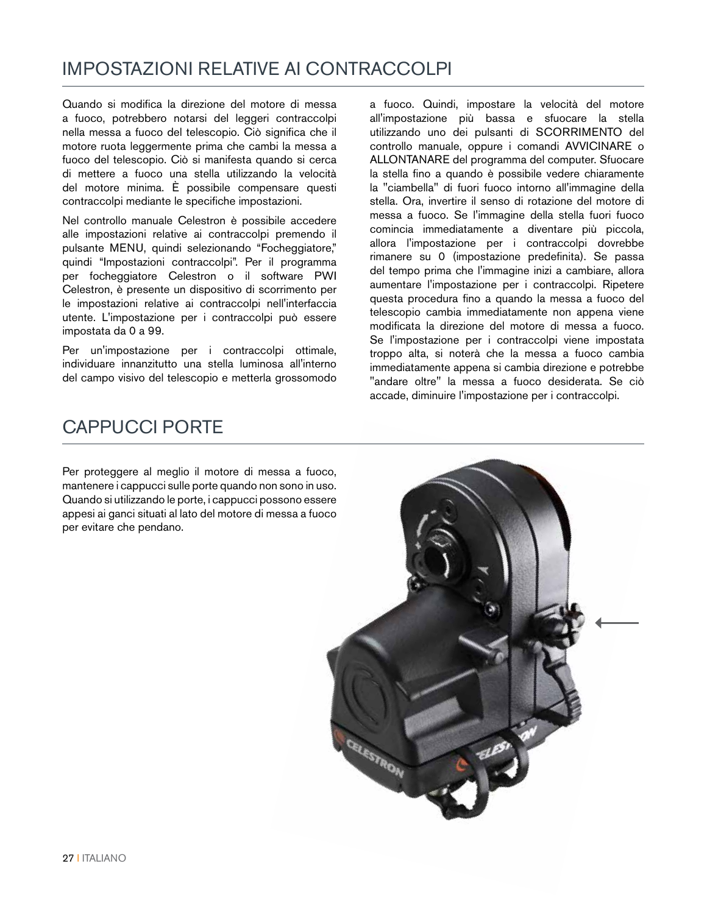#### IMPOSTAZIONI RELATIVE AI CONTRACCOLPI

Quando si modifica la direzione del motore di messa a fuoco, potrebbero notarsi del leggeri contraccolpi nella messa a fuoco del telescopio. Ciò significa che il motore ruota leggermente prima che cambi la messa a fuoco del telescopio. Ciò si manifesta quando si cerca di mettere a fuoco una stella utilizzando la velocità del motore minima. È possibile compensare questi contraccolpi mediante le specifiche impostazioni.

Nel controllo manuale Celestron è possibile accedere alle impostazioni relative ai contraccolpi premendo il pulsante MENU, quindi selezionando "Focheggiatore," quindi "Impostazioni contraccolpi". Per il programma per focheggiatore Celestron o il software PWI Celestron, è presente un dispositivo di scorrimento per le impostazioni relative ai contraccolpi nell'interfaccia utente. L'impostazione per i contraccolpi può essere impostata da 0 a 99.

Per un'impostazione per i contraccolpi ottimale, individuare innanzitutto una stella luminosa all'interno del campo visivo del telescopio e metterla grossomodo

a fuoco. Quindi, impostare la velocità del motore all'impostazione più bassa e sfuocare la stella utilizzando uno dei pulsanti di SCORRIMENTO del controllo manuale, oppure i comandi AVVICINARE o ALLONTANARE del programma del computer. Sfuocare la stella fino a quando è possibile vedere chiaramente la "ciambella" di fuori fuoco intorno all'immagine della stella. Ora, invertire il senso di rotazione del motore di messa a fuoco. Se l'immagine della stella fuori fuoco comincia immediatamente a diventare più piccola, allora l'impostazione per i contraccolpi dovrebbe rimanere su 0 (impostazione predefinita). Se passa del tempo prima che l'immagine inizi a cambiare, allora aumentare l'impostazione per i contraccolpi. Ripetere questa procedura fino a quando la messa a fuoco del telescopio cambia immediatamente non appena viene modificata la direzione del motore di messa a fuoco. Se l'impostazione per i contraccolpi viene impostata troppo alta, si noterà che la messa a fuoco cambia immediatamente appena si cambia direzione e potrebbe "andare oltre" la messa a fuoco desiderata. Se ciò accade, diminuire l'impostazione per i contraccolpi.

#### CAPPUCCI PORTE

Per proteggere al meglio il motore di messa a fuoco, mantenere i cappucci sulle porte quando non sono in uso. Quando si utilizzando le porte, i cappucci possono essere appesi ai ganci situati al lato del motore di messa a fuoco per evitare che pendano.

![](_page_26_Picture_7.jpeg)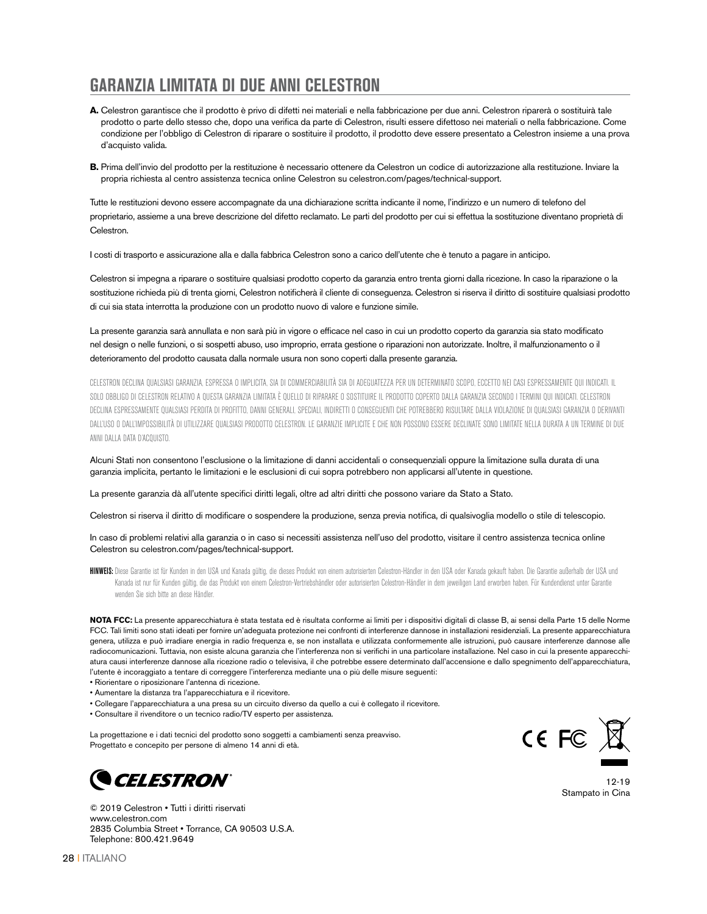#### **GARANZIA LIMITATA DI DUE ANNI CELESTRON**

- **A.** Celestron garantisce che il prodotto è privo di difetti nei materiali e nella fabbricazione per due anni. Celestron riparerà o sostituirà tale prodotto o parte dello stesso che, dopo una verifica da parte di Celestron, risulti essere difettoso nei materiali o nella fabbricazione. Come condizione per l'obbligo di Celestron di riparare o sostituire il prodotto, il prodotto deve essere presentato a Celestron insieme a una prova d'acquisto valida.
- **B.** Prima dell'invio del prodotto per la restituzione è necessario ottenere da Celestron un codice di autorizzazione alla restituzione. Inviare la propria richiesta al centro assistenza tecnica online Celestron su celestron.com/pages/technical-support.

Tutte le restituzioni devono essere accompagnate da una dichiarazione scritta indicante il nome, l'indirizzo e un numero di telefono del proprietario, assieme a una breve descrizione del difetto reclamato. Le parti del prodotto per cui si effettua la sostituzione diventano proprietà di Celestron.

I costi di trasporto e assicurazione alla e dalla fabbrica Celestron sono a carico dell'utente che è tenuto a pagare in anticipo.

Celestron si impegna a riparare o sostituire qualsiasi prodotto coperto da garanzia entro trenta giorni dalla ricezione. In caso la riparazione o la sostituzione richieda più di trenta giorni, Celestron notificherà il cliente di conseguenza. Celestron si riserva il diritto di sostituire qualsiasi prodotto di cui sia stata interrotta la produzione con un prodotto nuovo di valore e funzione simile.

La presente garanzia sarà annullata e non sarà più in vigore o efficace nel caso in cui un prodotto coperto da garanzia sia stato modificato nel design o nelle funzioni, o si sospetti abuso, uso improprio, errata gestione o riparazioni non autorizzate. Inoltre, il malfunzionamento o il deterioramento del prodotto causata dalla normale usura non sono coperti dalla presente garanzia.

CELESTRON DECLINA QUALSIASI GARANZIA, ESPRESSA O IMPLICITA, SIA DI COMMERCIABILITÀ SIA DI ADEGUATEZZA PER UN DETERMINATO SCOPO, ECCETTO NEI CASI ESPRESSAMENTE QUI INDICATI. IL SOLO OBBLIGO DI CELESTRON RELATIVO A QUESTA GARANZIA LIMITATA È QUELLO DI RIPARARE O SOSTITUIRE IL PRODOTTO COPERTO DALLA GARANZIA SECONDO I TERMINI QUI INDICATI. CELESTRON DECLINA ESPRESSAMENTE QUALSIASI PERDITA DI PROFITTO, DANNI GENERALI, SPECIALI, INDIRETTI O CONSEGUENTI CHE POTREBBERO RISULTARE DALLA VIOLAZIONE DI QUALSIASI GARANZIA O DERIVANTI DALL'USO O DALL'IMPOSSIBILITÀ DI UTILIZZARE QUALSIASI PRODOTTO CELESTRON. LE GARANZIE IMPLICITE E CHE NON POSSONO ESSERE DECLINATE SONO LIMITATE NELLA DURATA A UN TERMINE DI DUE ANNI DALLA DATA D'ACQUISTO.

Alcuni Stati non consentono l'esclusione o la limitazione di danni accidentali o consequenziali oppure la limitazione sulla durata di una garanzia implicita, pertanto le limitazioni e le esclusioni di cui sopra potrebbero non applicarsi all'utente in questione.

#### La presente garanzia dà all'utente specifici diritti legali, oltre ad altri diritti che possono variare da Stato a Stato.

Celestron si riserva il diritto di modificare o sospendere la produzione, senza previa notifica, di qualsivoglia modello o stile di telescopio.

In caso di problemi relativi alla garanzia o in caso si necessiti assistenza nell'uso del prodotto, visitare il centro assistenza tecnica online Celestron su celestron.com/pages/technical-support.

HINWEIS: Diese Garantie ist für Kunden in den USA und Kanada gültig, die dieses Produkt von einem autorisierten Celestron-Händler in den USA oder Kanada gekauft haben. Die Garantie außerhalb der USA und Kanada ist nur für Kunden gültig, die das Produkt von einem Celestron-Vertriebshändler oder autorisierten Celestron-Händler in dem jeweiligen Land erworben haben. Für Kundendienst unter Garantie wenden Sie sich bitte an diese Händler.

**NOTA FCC:** La presente apparecchiatura è stata testata ed è risultata conforme ai limiti per i dispositivi digitali di classe B, ai sensi della Parte 15 delle Norme FCC. Tali limiti sono stati ideati per fornire un'adeguata protezione nei confronti di interferenze dannose in installazioni residenziali. La presente apparecchiatura genera, utilizza e può irradiare energia in radio frequenza e, se non installata e utilizzata conformemente alle istruzioni, può causare interferenze dannose alle radiocomunicazioni. Tuttavia, non esiste alcuna garanzia che l'interferenza non si verifichi in una particolare installazione. Nel caso in cui la presente apparecchiatura causi interferenze dannose alla ricezione radio o televisiva, il che potrebbe essere determinato dall'accensione e dallo spegnimento dell'apparecchiatura, l'utente è incoraggiato a tentare di correggere l'interferenza mediante una o più delle misure seguenti:

- Riorientare o riposizionare l'antenna di ricezione.
- Aumentare la distanza tra l'apparecchiatura e il ricevitore.
- Collegare l'apparecchiatura a una presa su un circuito diverso da quello a cui è collegato il ricevitore.
- Consultare il rivenditore o un tecnico radio/TV esperto per assistenza.

La progettazione e i dati tecnici del prodotto sono soggetti a cambiamenti senza preavviso. Progettato e concepito per persone di almeno 14 anni di età.

![](_page_27_Picture_19.jpeg)

© 2019 Celestron • Tutti i diritti riservati www.celestron.com 2835 Columbia Street • Torrance, CA 90503 U.S.A. Telephone: 800.421.9649

![](_page_27_Picture_21.jpeg)

12-19 Stampato in Cina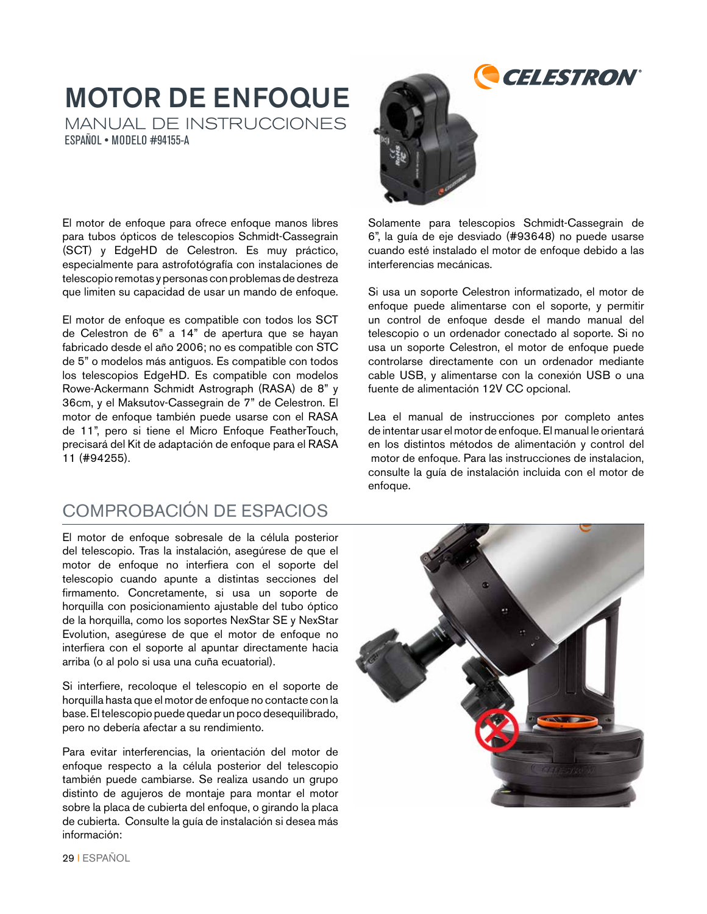# MOTOR DE ENFOQUE

MANUAL DE INSTRUCCIONES ESPAÑOL • MODELO #94155-A

El motor de enfoque para ofrece enfoque manos libres para tubos ópticos de telescopios Schmidt-Cassegrain (SCT) y EdgeHD de Celestron. Es muy práctico, especialmente para astrofotógrafía con instalaciones de telescopio remotas y personas con problemas de destreza que limiten su capacidad de usar un mando de enfoque.

El motor de enfoque es compatible con todos los SCT de Celestron de 6" a 14" de apertura que se hayan fabricado desde el año 2006; no es compatible con STC de 5" o modelos más antiguos. Es compatible con todos los telescopios EdgeHD. Es compatible con modelos Rowe-Ackermann Schmidt Astrograph (RASA) de 8" y 36cm, y el Maksutov-Cassegrain de 7" de Celestron. El motor de enfoque también puede usarse con el RASA de 11", pero si tiene el Micro Enfoque FeatherTouch, precisará del Kit de adaptación de enfoque para el RASA 11 (#94255).

#### COMPROBACIÓN DE ESPACIOS

El motor de enfoque sobresale de la célula posterior del telescopio. Tras la instalación, asegúrese de que el motor de enfoque no interfiera con el soporte del telescopio cuando apunte a distintas secciones del firmamento. Concretamente, si usa un soporte de horquilla con posicionamiento ajustable del tubo óptico de la horquilla, como los soportes NexStar SE y NexStar Evolution, asegúrese de que el motor de enfoque no interfiera con el soporte al apuntar directamente hacia arriba (o al polo si usa una cuña ecuatorial).

Si interfiere, recoloque el telescopio en el soporte de horquilla hasta que el motor de enfoque no contacte con la base. El telescopio puede quedar un poco desequilibrado, pero no debería afectar a su rendimiento.

Para evitar interferencias, la orientación del motor de enfoque respecto a la célula posterior del telescopio también puede cambiarse. Se realiza usando un grupo distinto de agujeros de montaje para montar el motor sobre la placa de cubierta del enfoque, o girando la placa de cubierta. Consulte la guía de instalación si desea más información:

![](_page_28_Picture_8.jpeg)

Solamente para telescopios Schmidt-Cassegrain de 6", la guía de eje desviado (#93648) no puede usarse cuando esté instalado el motor de enfoque debido a las interferencias mecánicas.

**CELESTRON** 

Si usa un soporte Celestron informatizado, el motor de enfoque puede alimentarse con el soporte, y permitir un control de enfoque desde el mando manual del telescopio o un ordenador conectado al soporte. Si no usa un soporte Celestron, el motor de enfoque puede controlarse directamente con un ordenador mediante cable USB, y alimentarse con la conexión USB o una fuente de alimentación 12V CC opcional.

Lea el manual de instrucciones por completo antes de intentar usar el motor de enfoque. El manual le orientará en los distintos métodos de alimentación y control del motor de enfoque. Para las instrucciones de instalacion, consulte la guía de instalación incluida con el motor de enfoque.

![](_page_28_Picture_12.jpeg)

29 I ESPAÑOL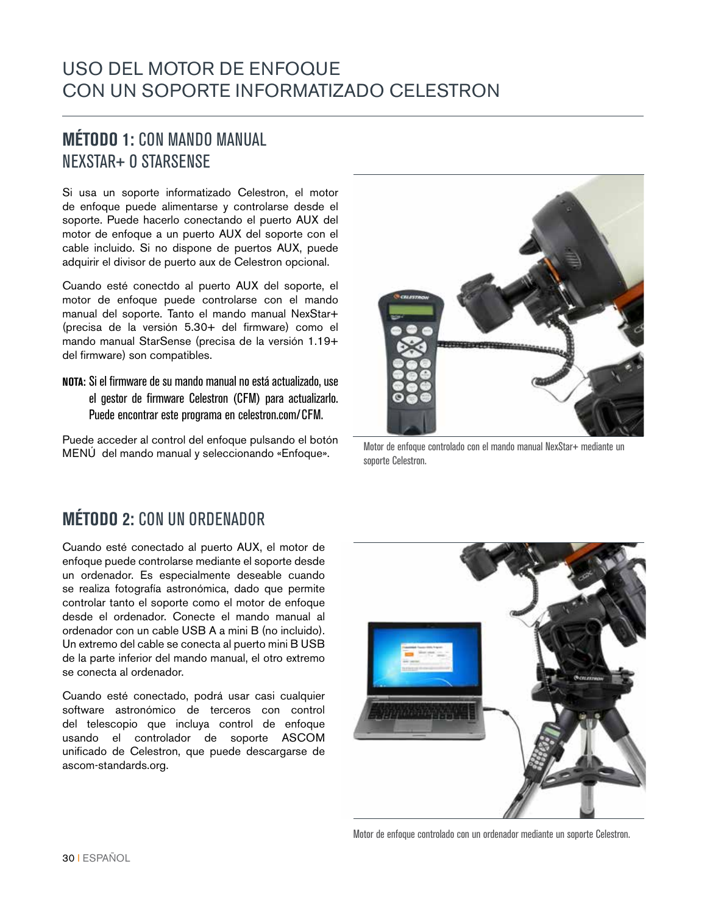#### USO DEL MOTOR DE ENFOQUE CON UN SOPORTE INFORMATIZADO CELESTRON

#### **MÉTODO 1:** CON MANDO MANUAL NEXSTAR+ O STARSENSE

Si usa un soporte informatizado Celestron, el motor de enfoque puede alimentarse y controlarse desde el soporte. Puede hacerlo conectando el puerto AUX del motor de enfoque a un puerto AUX del soporte con el cable incluido. Si no dispone de puertos AUX, puede adquirir el divisor de puerto aux de Celestron opcional.

Cuando esté conectdo al puerto AUX del soporte, el motor de enfoque puede controlarse con el mando manual del soporte. Tanto el mando manual NexStar+ (precisa de la versión 5.30+ del firmware) como el mando manual StarSense (precisa de la versión 1.19+ del firmware) son compatibles.

**NOTA:** Si el firmware de su mando manual no está actualizado, use el gestor de firmware Celestron (CFM) para actualizarlo. Puede encontrar este programa en celestron.com/CFM.

Puede acceder al control del enfoque pulsando el botón MENÚ del mando manual y seleccionando «Enfoque».

![](_page_29_Picture_6.jpeg)

Motor de enfoque controlado con el mando manual NexStar+ mediante un soporte Celestron.

#### **MÉTODO 2:** CON UN ORDENADOR

Cuando esté conectado al puerto AUX, el motor de enfoque puede controlarse mediante el soporte desde un ordenador. Es especialmente deseable cuando se realiza fotografía astronómica, dado que permite controlar tanto el soporte como el motor de enfoque desde el ordenador. Conecte el mando manual al ordenador con un cable USB A a mini B (no incluido). Un extremo del cable se conecta al puerto mini B USB de la parte inferior del mando manual, el otro extremo se conecta al ordenador.

Cuando esté conectado, podrá usar casi cualquier software astronómico de terceros con control del telescopio que incluya control de enfoque usando el controlador de soporte ASCOM unificado de Celestron, que puede descargarse de ascom-standards.org.

![](_page_29_Picture_11.jpeg)

Motor de enfoque controlado con un ordenador mediante un soporte Celestron.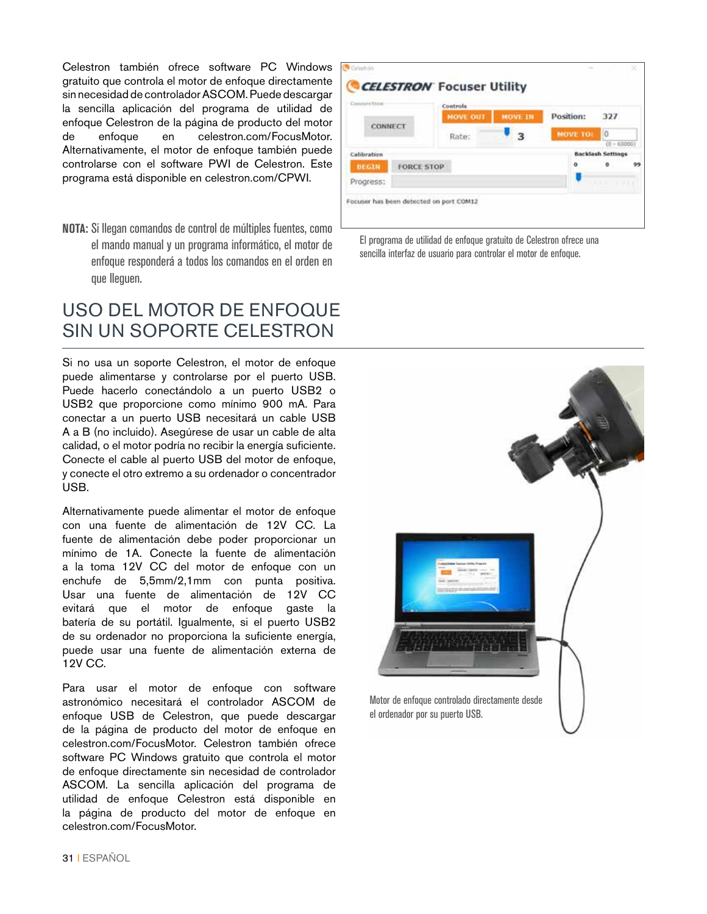Celestron también ofrece software PC Windows gratuito que controla el motor de enfoque directamente sin necesidad de controlador ASCOM. Puede descargar la sencilla aplicación del programa de utilidad de enfoque Celestron de la página de producto del motor de enfoque en celestron.com/FocusMotor. Alternativamente, el motor de enfoque también puede controlarse con el software PWI de Celestron. Este programa está disponible en celestron.com/CPWI.

**NOTA:** Si llegan comandos de control de múltiples fuentes, como el mando manual y un programa informático, el motor de enfoque responderá a todos los comandos en el orden en que lleguen.

#### USO DEL MOTOR DE ENFOQUE SIN UN SOPORTE CELESTRON

Si no usa un soporte Celestron, el motor de enfoque puede alimentarse y controlarse por el puerto USB. Puede hacerlo conectándolo a un puerto USB2 o USB2 que proporcione como mínimo 900 mA. Para conectar a un puerto USB necesitará un cable USB A a B (no incluido). Asegúrese de usar un cable de alta calidad, o el motor podría no recibir la energía suficiente. Conecte el cable al puerto USB del motor de enfoque, y conecte el otro extremo a su ordenador o concentrador USB.

Alternativamente puede alimentar el motor de enfoque con una fuente de alimentación de 12V CC. La fuente de alimentación debe poder proporcionar un mínimo de 1A. Conecte la fuente de alimentación a la toma 12V CC del motor de enfoque con un enchufe de 5,5mm/2,1mm con punta positiva. Usar una fuente de alimentación de 12V CC evitará que el motor de enfoque gaste la batería de su portátil. Igualmente, si el puerto USB2 de su ordenador no proporciona la suficiente energía, puede usar una fuente de alimentación externa de 12V CC.

Para usar el motor de enfoque con software astronómico necesitará el controlador ASCOM de enfoque USB de Celestron, que puede descargar de la página de producto del motor de enfoque en celestron.com/FocusMotor. Celestron también ofrece software PC Windows gratuito que controla el motor de enfoque directamente sin necesidad de controlador ASCOM. La sencilla aplicación del programa de utilidad de enfoque Celestron está disponible en la página de producto del motor de enfoque en celestron.com/FocusMotor.

![](_page_30_Picture_6.jpeg)

El programa de utilidad de enfoque gratuito de Celestron ofrece una sencilla interfaz de usuario para controlar el motor de enfoque.

![](_page_30_Picture_8.jpeg)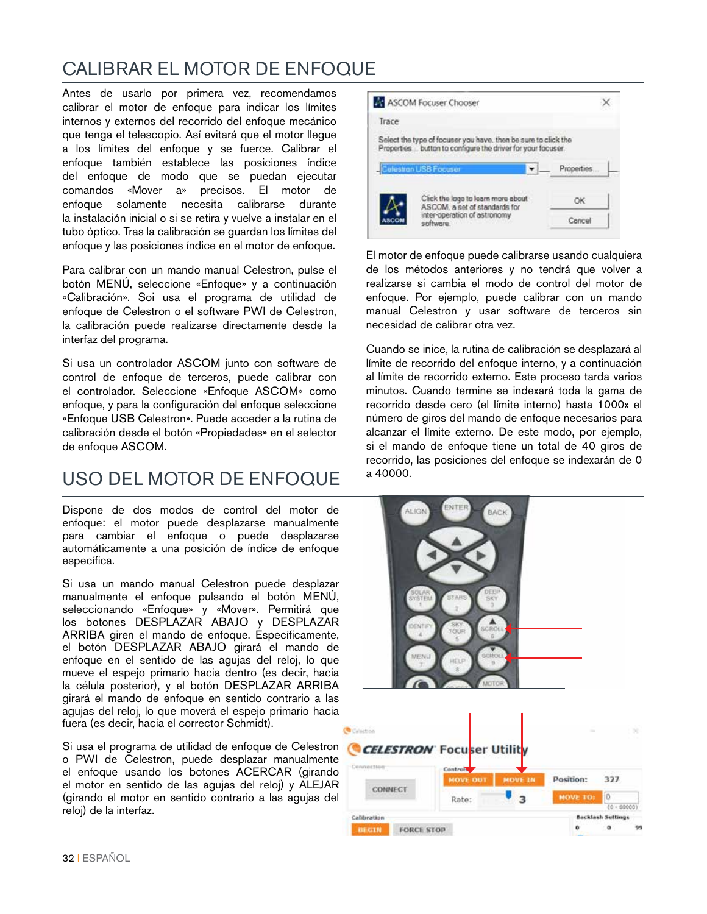### CALIBRAR EL MOTOR DE ENFOQUE

Antes de usarlo por primera vez, recomendamos calibrar el motor de enfoque para indicar los límites internos y externos del recorrido del enfoque mecánico que tenga el telescopio. Así evitará que el motor llegue a los límites del enfoque y se fuerce. Calibrar el enfoque también establece las posiciones índice del enfoque de modo que se puedan ejecutar comandos «Mover a» precisos. El motor de enfoque solamente necesita calibrarse durante la instalación inicial o si se retira y vuelve a instalar en el tubo óptico. Tras la calibración se guardan los límites del enfoque y las posiciones índice en el motor de enfoque.

Para calibrar con un mando manual Celestron, pulse el botón MENÚ, seleccione «Enfoque» y a continuación «Calibración». Soi usa el programa de utilidad de enfoque de Celestron o el software PWI de Celestron, la calibración puede realizarse directamente desde la interfaz del programa.

Si usa un controlador ASCOM junto con software de control de enfoque de terceros, puede calibrar con el controlador. Seleccione «Enfoque ASCOM» como enfoque, y para la configuración del enfoque seleccione «Enfoque USB Celestron». Puede acceder a la rutina de calibración desde el botón «Propiedades» en el selector de enfoque ASCOM.

#### USO DEL MOTOR DE ENFOQUE

Dispone de dos modos de control del motor de enfoque: el motor puede desplazarse manualmente para cambiar el enfoque o puede desplazarse automáticamente a una posición de índice de enfoque específica.

Si usa un mando manual Celestron puede desplazar manualmente el enfoque pulsando el botón MENÚ, seleccionando «Enfoque» y «Mover». Permitirá que los botones DESPLAZAR ABAJO y DESPLAZAR ARRIBA giren el mando de enfoque. Específicamente, el botón DESPLAZAR ABAJO girará el mando de enfoque en el sentido de las agujas del reloj, lo que mueve el espejo primario hacia dentro (es decir, hacia la célula posterior), y el botón DESPLAZAR ARRIBA girará el mando de enfoque en sentido contrario a las agujas del reloj, lo que moverá el espejo primario hacia fuera (es decir, hacia el corrector Schmidt).

Si usa el programa de utilidad de enfoque de Celestron o PWI de Celestron, puede desplazar manualmente el enfoque usando los botones ACERCAR (girando el motor en sentido de las agujas del reloj) y ALEJAR (girando el motor en sentido contrario a las agujas del reloj) de la interfaz.

![](_page_31_Picture_8.jpeg)

El motor de enfoque puede calibrarse usando cualquiera de los métodos anteriores y no tendrá que volver a realizarse si cambia el modo de control del motor de enfoque. Por ejemplo, puede calibrar con un mando manual Celestron y usar software de terceros sin necesidad de calibrar otra vez.

Cuando se inice, la rutina de calibración se desplazará al límite de recorrido del enfoque interno, y a continuación al límite de recorrido externo. Este proceso tarda varios minutos. Cuando termine se indexará toda la gama de recorrido desde cero (el límite interno) hasta 1000x el número de giros del mando de enfoque necesarios para alcanzar el límite externo. De este modo, por ejemplo, si el mando de enfoque tiene un total de 40 giros de recorrido, las posiciones del enfoque se indexarán de 0 a 40000.

![](_page_31_Picture_11.jpeg)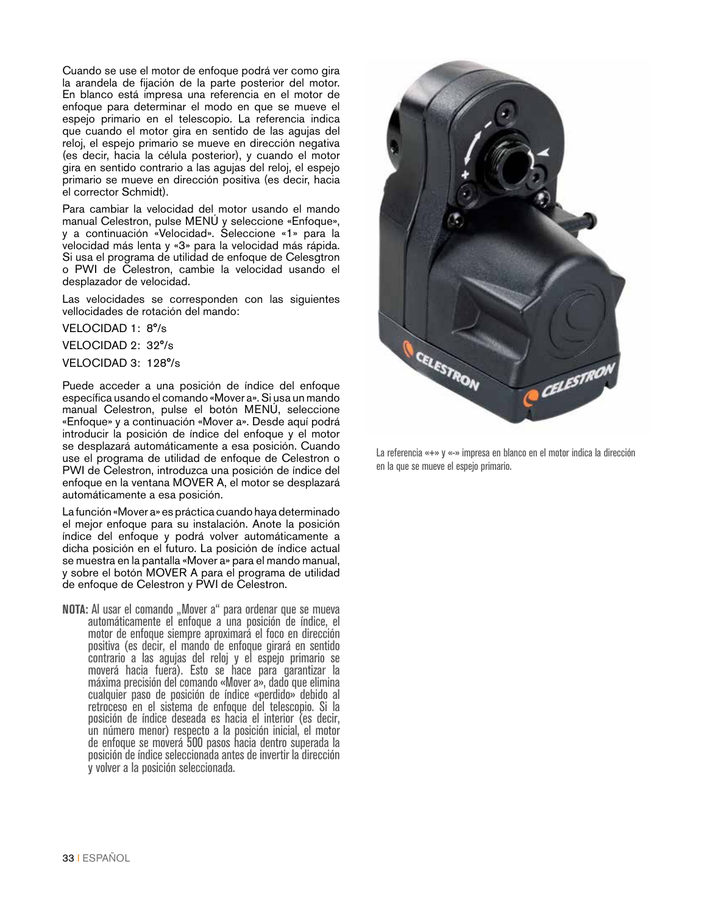Cuando se use el motor de enfoque podrá ver como gira la arandela de fijación de la parte posterior del motor. En blanco está impresa una referencia en el motor de enfoque para determinar el modo en que se mueve el espejo primario en el telescopio. La referencia indica que cuando el motor gira en sentido de las agujas del reloj, el espejo primario se mueve en dirección negativa (es decir, hacia la célula posterior), y cuando el motor gira en sentido contrario a las agujas del reloj, el espejo primario se mueve en dirección positiva (es decir, hacia el corrector Schmidt).

Para cambiar la velocidad del motor usando el mando manual Celestron, pulse MENÚ y seleccione «Enfoque», y a continuación «Velocidad». Seleccione «1» para la velocidad más lenta y «3» para la velocidad más rápida. Si usa el programa de utilidad de enfoque de Celesgtron o PWI de Celestron, cambie la velocidad usando el desplazador de velocidad.

Las velocidades se corresponden con las siguientes vellocidades de rotación del mando:

VELOCIDAD 1: 8°/s

VELOCIDAD 2: 32°/s

VELOCIDAD 3: 128°/s

Puede acceder a una posición de índice del enfoque específica usando el comando «Mover a». Si usa un mando manual Celestron, pulse el botón MENÚ, seleccione «Enfoque» y a continuación «Mover a». Desde aquí podrá introducir la posición de índice del enfoque y el motor se desplazará automáticamente a esa posición. Cuando use el programa de utilidad de enfoque de Celestron o PWI de Celestron, introduzca una posición de índice del enfoque en la ventana MOVER A, el motor se desplazará automáticamente a esa posición.

La función «Mover a» es práctica cuando haya determinado el mejor enfoque para su instalación. Anote la posición índice del enfoque y podrá volver automáticamente a dicha posición en el futuro. La posición de índice actual se muestra en la pantalla «Mover a» para el mando manual, y sobre el botón MOVER A para el programa de utilidad de enfoque de Celestron y PWI de Celestron.

**NOTA:** Al usar el comando "Mover a" para ordenar que se mueva automáticamente el enfoque a una posición de índice, el motor de enfoque siempre aproximará el foco en dirección positiva (es decir, el mando de enfoque girará en sentido contrario a las agujas del reloj y el espejo primario se moverá hacia fuera). Esto se hace para garantizar la máxima precisión del comando «Mover a», dado que elimina cualquier paso de posición de índice «perdido» debido al retroceso en el sistema de enfoque del telescopio. Si la posición de índice deseada es hacia el interior (es decir, un número menor) respecto a la posición inicial, el motor de enfoque se moverá 500 pasos hacia dentro superada la posición de índice seleccionada antes de invertir la dirección y volver a la posición seleccionada.

![](_page_32_Picture_9.jpeg)

La referencia «+» y «-» impresa en blanco en el motor indica la dirección en la que se mueve el espejo primario.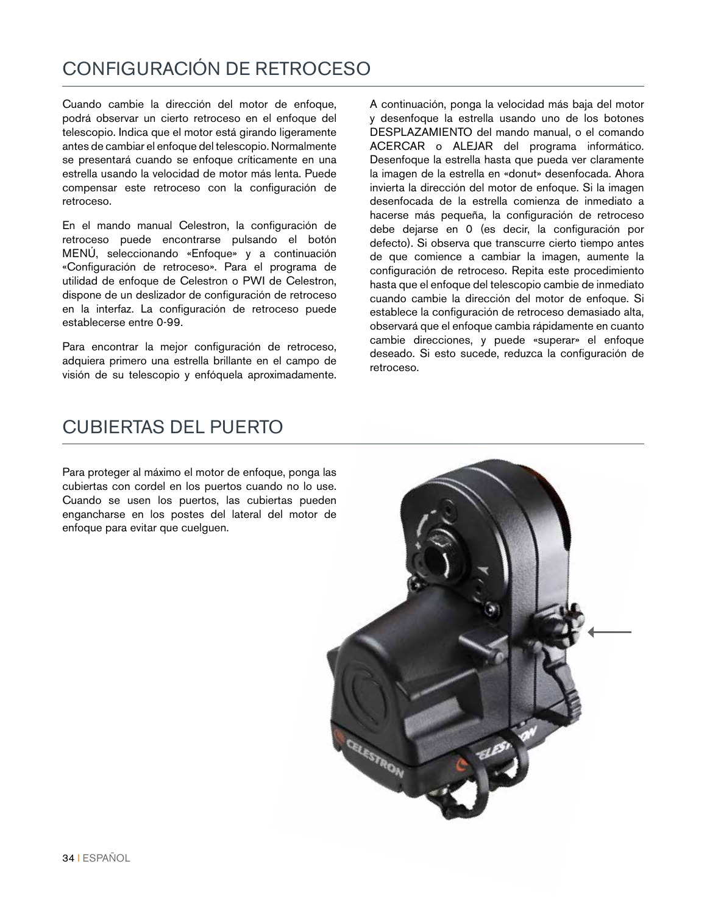#### CONFIGURACIÓN DE RETROCESO

Cuando cambie la dirección del motor de enfoque, podrá observar un cierto retroceso en el enfoque del telescopio. Indica que el motor está girando ligeramente antes de cambiar el enfoque del telescopio. Normalmente se presentará cuando se enfoque críticamente en una estrella usando la velocidad de motor más lenta. Puede compensar este retroceso con la configuración de retroceso.

En el mando manual Celestron, la configuración de retroceso puede encontrarse pulsando el botón MENÚ, seleccionando «Enfoque» y a continuación «Configuración de retroceso». Para el programa de utilidad de enfoque de Celestron o PWI de Celestron, dispone de un deslizador de configuración de retroceso en la interfaz. La configuración de retroceso puede establecerse entre 0-99.

Para encontrar la mejor configuración de retroceso, adquiera primero una estrella brillante en el campo de visión de su telescopio y enfóquela aproximadamente. A continuación, ponga la velocidad más baja del motor y desenfoque la estrella usando uno de los botones DESPLAZAMIENTO del mando manual, o el comando ACERCAR o ALEJAR del programa informático. Desenfoque la estrella hasta que pueda ver claramente la imagen de la estrella en «donut» desenfocada. Ahora invierta la dirección del motor de enfoque. Si la imagen desenfocada de la estrella comienza de inmediato a hacerse más pequeña, la configuración de retroceso debe dejarse en 0 (es decir, la configuración por defecto). Si observa que transcurre cierto tiempo antes de que comience a cambiar la imagen, aumente la configuración de retroceso. Repita este procedimiento hasta que el enfoque del telescopio cambie de inmediato cuando cambie la dirección del motor de enfoque. Si establece la configuración de retroceso demasiado alta, observará que el enfoque cambia rápidamente en cuanto cambie direcciones, y puede «superar» el enfoque deseado. Si esto sucede, reduzca la configuración de retroceso.

#### CUBIERTAS DEL PUERTO

Para proteger al máximo el motor de enfoque, ponga las cubiertas con cordel en los puertos cuando no lo use. Cuando se usen los puertos, las cubiertas pueden engancharse en los postes del lateral del motor de enfoque para evitar que cuelguen.

![](_page_33_Picture_7.jpeg)